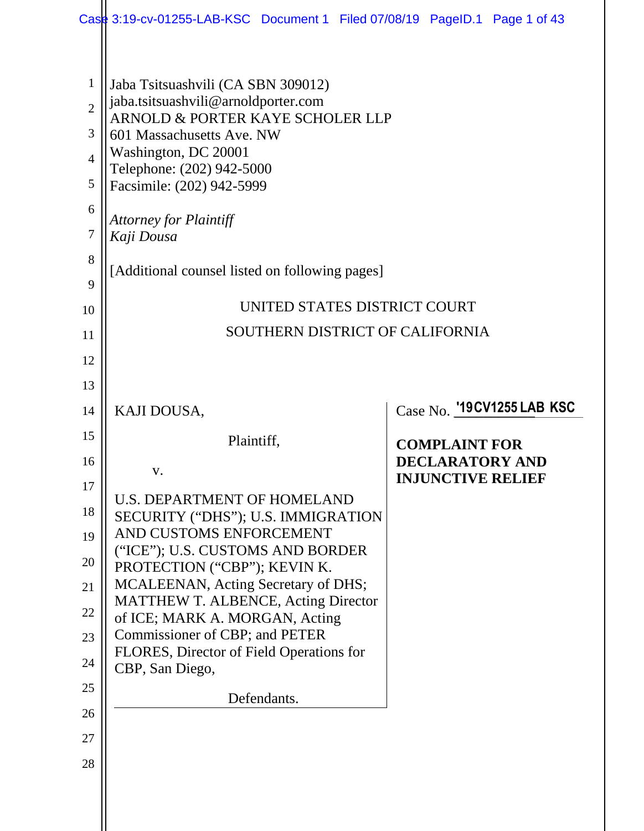|                | Case 3:19-cv-01255-LAB-KSC Document 1 Filed 07/08/19 PageID.1 Page 1 of 43        |                            |
|----------------|-----------------------------------------------------------------------------------|----------------------------|
|                |                                                                                   |                            |
| $\mathbf{1}$   | Jaba Tsitsuashvili (CA SBN 309012)<br>jaba.tsitsuashvili@arnoldporter.com         |                            |
| $\overline{2}$ | ARNOLD & PORTER KAYE SCHOLER LLP                                                  |                            |
| 3              | 601 Massachusetts Ave. NW<br>Washington, DC 20001                                 |                            |
| $\overline{4}$ | Telephone: (202) 942-5000                                                         |                            |
| 5              | Facsimile: (202) 942-5999                                                         |                            |
| 6              | <b>Attorney for Plaintiff</b>                                                     |                            |
| 7              | Kaji Dousa                                                                        |                            |
| 8<br>9         | [Additional counsel listed on following pages]                                    |                            |
| 10             | UNITED STATES DISTRICT COURT                                                      |                            |
| 11             | SOUTHERN DISTRICT OF CALIFORNIA                                                   |                            |
| 12             |                                                                                   |                            |
| 13             |                                                                                   |                            |
| 14             | KAJI DOUSA,                                                                       | Case No. '19CV1255 LAB KSC |
| 15             | Plaintiff,                                                                        | <b>COMPLAINT FOR</b>       |
| 16             | V.                                                                                | <b>DECLARATORY AND</b>     |
| 17             | <b>U.S. DEPARTMENT OF HOMELAND</b>                                                | <b>INJUNCTIVE RELIEF</b>   |
| 18             | SECURITY ("DHS"); U.S. IMMIGRATION                                                |                            |
| 19             | AND CUSTOMS ENFORCEMENT<br>("ICE"); U.S. CUSTOMS AND BORDER                       |                            |
| 20             | PROTECTION ("CBP"); KEVIN K.                                                      |                            |
| 21             | MCALEENAN, Acting Secretary of DHS;<br><b>MATTHEW T. ALBENCE, Acting Director</b> |                            |
| 22             | of ICE; MARK A. MORGAN, Acting                                                    |                            |
| 23             | Commissioner of CBP; and PETER<br>FLORES, Director of Field Operations for        |                            |
| 24             |                                                                                   |                            |
|                | CBP, San Diego,                                                                   |                            |
| 25             | Defendants.                                                                       |                            |
| 26             |                                                                                   |                            |
| 27             |                                                                                   |                            |
| 28             |                                                                                   |                            |
|                |                                                                                   |                            |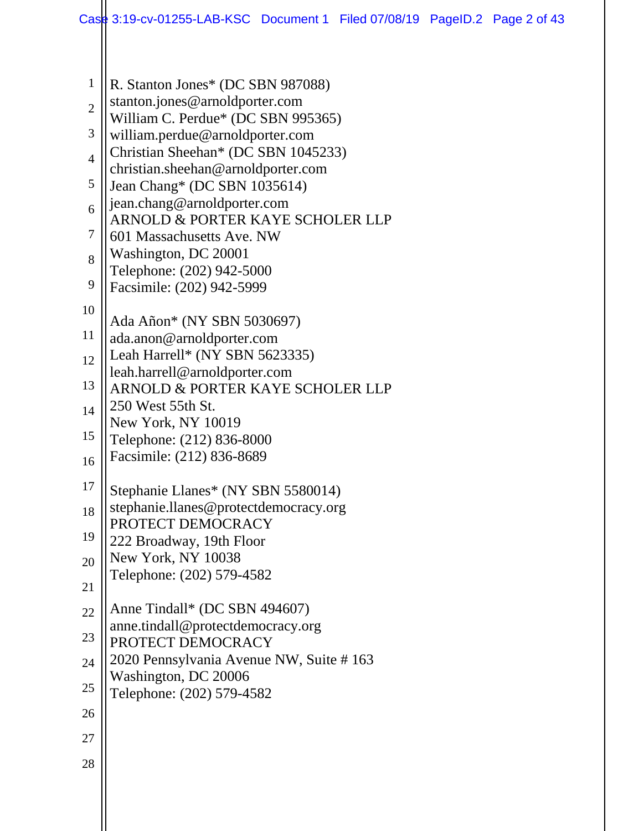| $\mathbf{1}$   | R. Stanton Jones* (DC SBN 987088)                                    |
|----------------|----------------------------------------------------------------------|
| $\overline{2}$ | stanton.jones@arnoldporter.com<br>William C. Perdue* (DC SBN 995365) |
| 3              | william.perdue@arnoldporter.com                                      |
| $\overline{4}$ | Christian Sheehan* (DC SBN 1045233)                                  |
| 5              | christian.sheehan@arnoldporter.com<br>Jean Chang* (DC SBN 1035614)   |
| 6              | jean.chang@arnoldporter.com<br>ARNOLD & PORTER KAYE SCHOLER LLP      |
| 7              | 601 Massachusetts Ave. NW                                            |
| 8              | Washington, DC 20001<br>Telephone: (202) 942-5000                    |
| 9              | Facsimile: (202) 942-5999                                            |
| 10             | Ada Añon* (NY SBN 5030697)                                           |
| 11             | ada.anon@arnoldporter.com                                            |
| 12             | Leah Harrell* (NY SBN 5623335)                                       |
| 13             | leah.harrell@arnoldporter.com<br>ARNOLD & PORTER KAYE SCHOLER LLP    |
| 14             | 250 West 55th St.<br>New York, NY 10019                              |
| 15             | Telephone: (212) 836-8000                                            |
| 16             | Facsimile: (212) 836-8689                                            |
| 17             | Stephanie Llanes* (NY SBN 5580014)                                   |
| 18             | stephanie.llanes@protectdemocracy.org                                |
| 19             | PROTECT DEMOCRACY<br>222 Broadway, 19th Floor                        |
| 20             | New York, NY 10038                                                   |
| 21             | Telephone: (202) 579-4582                                            |
| 22             | Anne Tindall* (DC SBN 494607)                                        |
| 23             | anne.tindall@protectdemocracy.org<br>PROTECT DEMOCRACY               |
| 24             | 2020 Pennsylvania Avenue NW, Suite #163                              |
| 25             | Washington, DC 20006<br>Telephone: (202) 579-4582                    |
| 26             |                                                                      |
| 27             |                                                                      |
| 28             |                                                                      |
|                |                                                                      |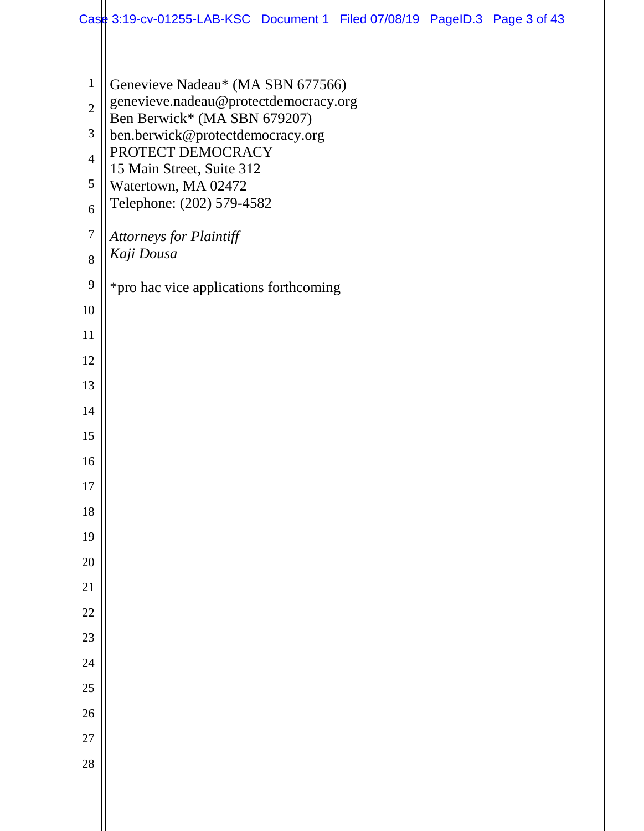|                       | Case 3:19-cv-01255-LAB-KSC Document 1 Filed 07/08/19 PageID.3 Page 3 of 43 |
|-----------------------|----------------------------------------------------------------------------|
|                       |                                                                            |
| $\mathbf{1}$          | Genevieve Nadeau* (MA SBN 677566)                                          |
| $\overline{2}$        | genevieve.nadeau@protectdemocracy.org<br>Ben Berwick* (MA SBN 679207)      |
| 3                     | ben.berwick@protectdemocracy.org                                           |
| $\overline{4}$        | PROTECT DEMOCRACY<br>15 Main Street, Suite 312                             |
| 5                     | Watertown, MA 02472<br>Telephone: (202) 579-4582                           |
| 6                     |                                                                            |
| $\boldsymbol{7}$<br>8 | <b>Attorneys for Plaintiff</b><br>Kaji Dousa                               |
| 9                     |                                                                            |
| 10                    | *pro hac vice applications forthcoming                                     |
| 11                    |                                                                            |
| 12                    |                                                                            |
| 13                    |                                                                            |
| 14                    |                                                                            |
| 15                    |                                                                            |
| 16                    |                                                                            |
| $17\,$                |                                                                            |
| 18                    |                                                                            |
| 19                    |                                                                            |
| 20                    |                                                                            |
| 21                    |                                                                            |
| $22\,$                |                                                                            |
| 23<br>24              |                                                                            |
| 25                    |                                                                            |
| 26                    |                                                                            |
| 27                    |                                                                            |
| 28                    |                                                                            |
|                       |                                                                            |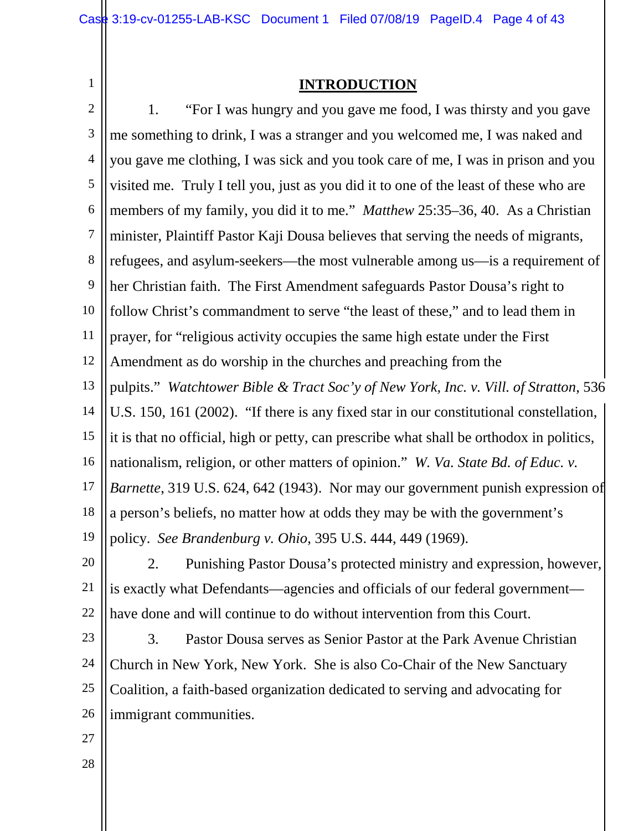1

#### **INTRODUCTION**

2 3 4 5 6 7 8 9 10 11 12 13 14 15 16 17 18 19 1. "For I was hungry and you gave me food, I was thirsty and you gave me something to drink, I was a stranger and you welcomed me, I was naked and you gave me clothing, I was sick and you took care of me, I was in prison and you visited me. Truly I tell you, just as you did it to one of the least of these who are members of my family, you did it to me." *Matthew* 25:35–36, 40. As a Christian minister, Plaintiff Pastor Kaji Dousa believes that serving the needs of migrants, refugees, and asylum-seekers—the most vulnerable among us—is a requirement of her Christian faith. The First Amendment safeguards Pastor Dousa's right to follow Christ's commandment to serve "the least of these," and to lead them in prayer, for "religious activity occupies the same high estate under the First Amendment as do worship in the churches and preaching from the pulpits." *Watchtower Bible & Tract Soc'y of New York, Inc. v. Vill. of Stratton*, 536 U.S. 150, 161 (2002). "If there is any fixed star in our constitutional constellation, it is that no official, high or petty, can prescribe what shall be orthodox in politics, nationalism, religion, or other matters of opinion." *W. Va. State Bd. of Educ. v. Barnette*, 319 U.S. 624, 642 (1943). Nor may our government punish expression of a person's beliefs, no matter how at odds they may be with the government's policy. *See Brandenburg v. Ohio*, 395 U.S. 444, 449 (1969).

20 21 22 2. Punishing Pastor Dousa's protected ministry and expression, however, is exactly what Defendants—agencies and officials of our federal government have done and will continue to do without intervention from this Court.

- 23 24 25 26 3. Pastor Dousa serves as Senior Pastor at the Park Avenue Christian Church in New York, New York. She is also Co-Chair of the New Sanctuary Coalition, a faith-based organization dedicated to serving and advocating for immigrant communities.
- 27
- 28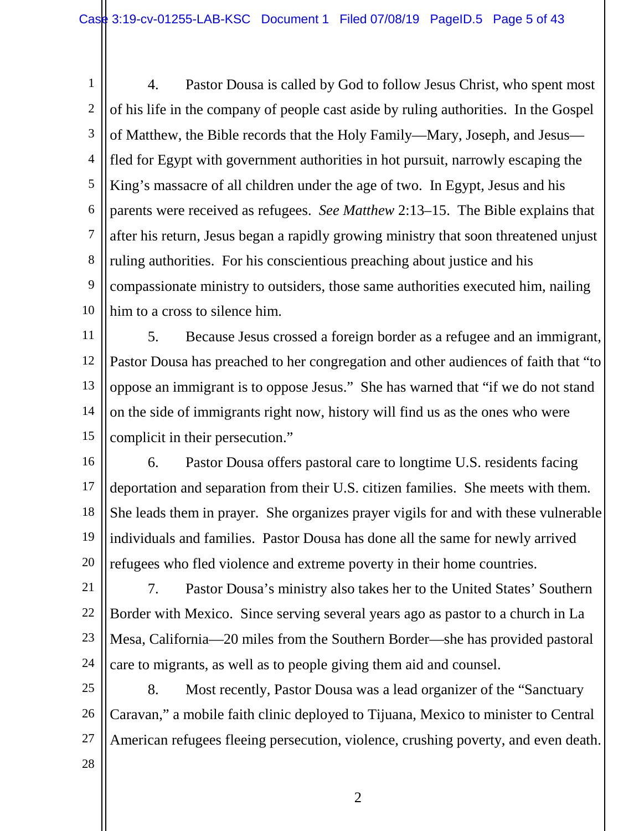1 2 3 4 5 6 7 8 9 10 4. Pastor Dousa is called by God to follow Jesus Christ, who spent most of his life in the company of people cast aside by ruling authorities. In the Gospel of Matthew, the Bible records that the Holy Family—Mary, Joseph, and Jesus fled for Egypt with government authorities in hot pursuit, narrowly escaping the King's massacre of all children under the age of two. In Egypt, Jesus and his parents were received as refugees. *See Matthew* 2:13–15. The Bible explains that after his return, Jesus began a rapidly growing ministry that soon threatened unjust ruling authorities. For his conscientious preaching about justice and his compassionate ministry to outsiders, those same authorities executed him, nailing him to a cross to silence him.

11 12 13 14 15 5. Because Jesus crossed a foreign border as a refugee and an immigrant, Pastor Dousa has preached to her congregation and other audiences of faith that "to oppose an immigrant is to oppose Jesus." She has warned that "if we do not stand on the side of immigrants right now, history will find us as the ones who were complicit in their persecution."

16 17 18 19 20 6. Pastor Dousa offers pastoral care to longtime U.S. residents facing deportation and separation from their U.S. citizen families. She meets with them. She leads them in prayer. She organizes prayer vigils for and with these vulnerable individuals and families. Pastor Dousa has done all the same for newly arrived refugees who fled violence and extreme poverty in their home countries.

21 22 23 24 7. Pastor Dousa's ministry also takes her to the United States' Southern Border with Mexico. Since serving several years ago as pastor to a church in La Mesa, California—20 miles from the Southern Border—she has provided pastoral care to migrants, as well as to people giving them aid and counsel.

25 26 27 8. Most recently, Pastor Dousa was a lead organizer of the "Sanctuary Caravan," a mobile faith clinic deployed to Tijuana, Mexico to minister to Central American refugees fleeing persecution, violence, crushing poverty, and even death.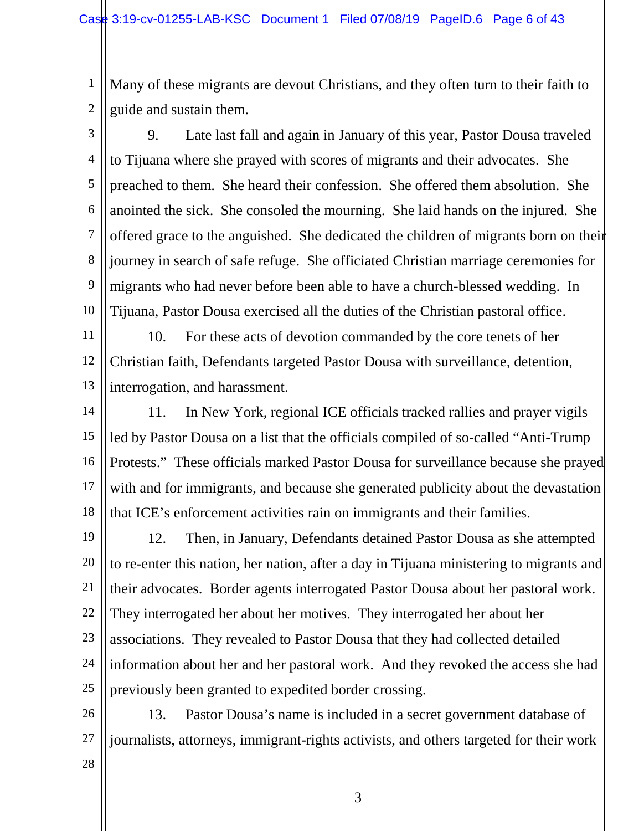1 2 Many of these migrants are devout Christians, and they often turn to their faith to guide and sustain them.

3 4 5 6 7 8 9 10 9. Late last fall and again in January of this year, Pastor Dousa traveled to Tijuana where she prayed with scores of migrants and their advocates. She preached to them. She heard their confession. She offered them absolution. She anointed the sick. She consoled the mourning. She laid hands on the injured. She offered grace to the anguished. She dedicated the children of migrants born on their journey in search of safe refuge. She officiated Christian marriage ceremonies for migrants who had never before been able to have a church-blessed wedding. In Tijuana, Pastor Dousa exercised all the duties of the Christian pastoral office.

11 12 13 10. For these acts of devotion commanded by the core tenets of her Christian faith, Defendants targeted Pastor Dousa with surveillance, detention, interrogation, and harassment.

14 15 16 17 18 11. In New York, regional ICE officials tracked rallies and prayer vigils led by Pastor Dousa on a list that the officials compiled of so-called "Anti-Trump Protests." These officials marked Pastor Dousa for surveillance because she prayed with and for immigrants, and because she generated publicity about the devastation that ICE's enforcement activities rain on immigrants and their families.

19 20 21 22 23 24 25 12. Then, in January, Defendants detained Pastor Dousa as she attempted to re-enter this nation, her nation, after a day in Tijuana ministering to migrants and their advocates. Border agents interrogated Pastor Dousa about her pastoral work. They interrogated her about her motives. They interrogated her about her associations. They revealed to Pastor Dousa that they had collected detailed information about her and her pastoral work. And they revoked the access she had previously been granted to expedited border crossing.

26 27 13. Pastor Dousa's name is included in a secret government database of journalists, attorneys, immigrant-rights activists, and others targeted for their work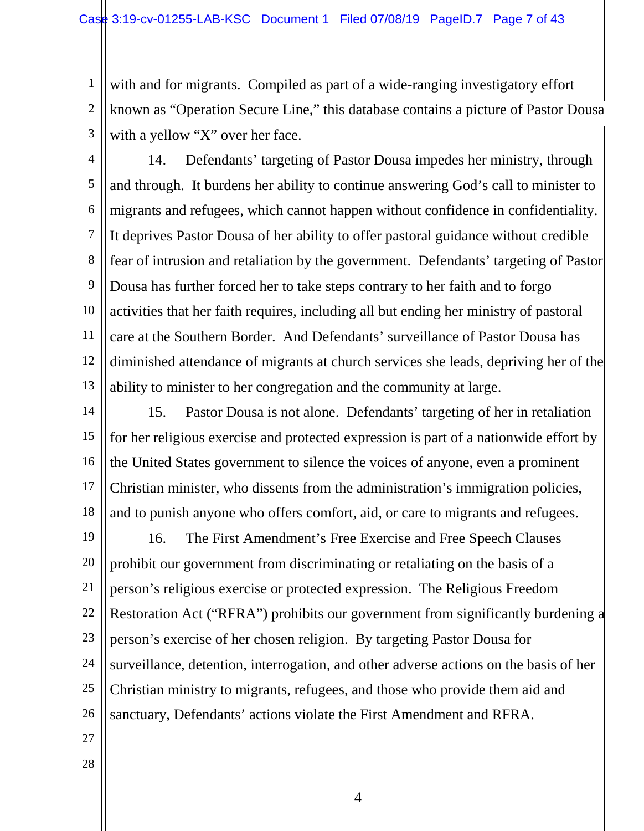1 2 3 with and for migrants. Compiled as part of a wide-ranging investigatory effort known as "Operation Secure Line," this database contains a picture of Pastor Dousa with a yellow "X" over her face.

4 5 6 7 8 9 10 11 12 13 14. Defendants' targeting of Pastor Dousa impedes her ministry, through and through. It burdens her ability to continue answering God's call to minister to migrants and refugees, which cannot happen without confidence in confidentiality. It deprives Pastor Dousa of her ability to offer pastoral guidance without credible fear of intrusion and retaliation by the government. Defendants' targeting of Pastor Dousa has further forced her to take steps contrary to her faith and to forgo activities that her faith requires, including all but ending her ministry of pastoral care at the Southern Border. And Defendants' surveillance of Pastor Dousa has diminished attendance of migrants at church services she leads, depriving her of the ability to minister to her congregation and the community at large.

14 15 16 17 18 15. Pastor Dousa is not alone. Defendants' targeting of her in retaliation for her religious exercise and protected expression is part of a nationwide effort by the United States government to silence the voices of anyone, even a prominent Christian minister, who dissents from the administration's immigration policies, and to punish anyone who offers comfort, aid, or care to migrants and refugees.

19 20 21 22 23 24 25 26 16. The First Amendment's Free Exercise and Free Speech Clauses prohibit our government from discriminating or retaliating on the basis of a person's religious exercise or protected expression. The Religious Freedom Restoration Act ("RFRA") prohibits our government from significantly burdening a person's exercise of her chosen religion. By targeting Pastor Dousa for surveillance, detention, interrogation, and other adverse actions on the basis of her Christian ministry to migrants, refugees, and those who provide them aid and sanctuary, Defendants' actions violate the First Amendment and RFRA.

- 27
- 28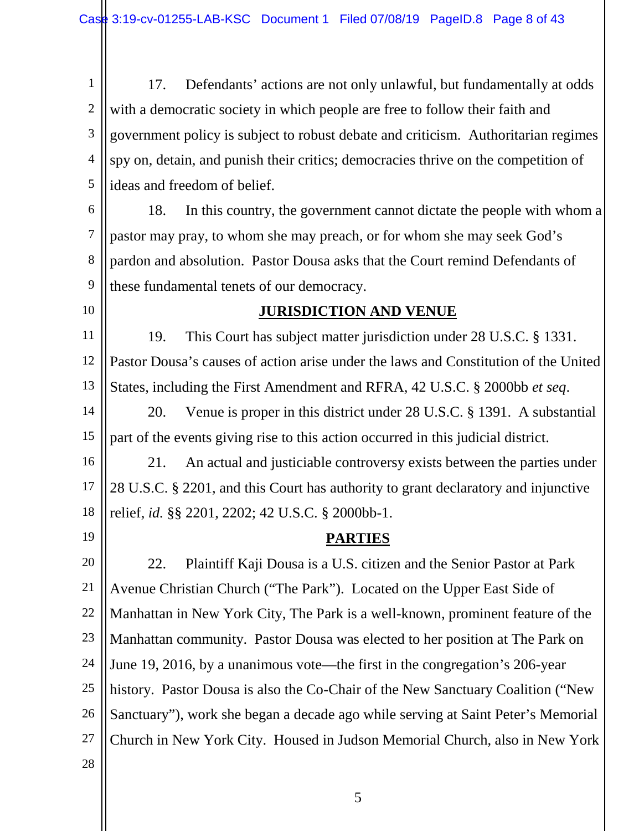1 2 3 4 5 17. Defendants' actions are not only unlawful, but fundamentally at odds with a democratic society in which people are free to follow their faith and government policy is subject to robust debate and criticism. Authoritarian regimes spy on, detain, and punish their critics; democracies thrive on the competition of ideas and freedom of belief.

6 7 8 9 18. In this country, the government cannot dictate the people with whom a pastor may pray, to whom she may preach, or for whom she may seek God's pardon and absolution. Pastor Dousa asks that the Court remind Defendants of these fundamental tenets of our democracy.

10

#### **JURISDICTION AND VENUE**

11 12 13 19. This Court has subject matter jurisdiction under 28 U.S.C. § 1331. Pastor Dousa's causes of action arise under the laws and Constitution of the United States, including the First Amendment and RFRA, 42 U.S.C. § 2000bb *et seq*.

14 15 20. Venue is proper in this district under 28 U.S.C. § 1391. A substantial part of the events giving rise to this action occurred in this judicial district.

16 17 18 21. An actual and justiciable controversy exists between the parties under 28 U.S.C. § 2201, and this Court has authority to grant declaratory and injunctive relief, *id.* §§ 2201, 2202; 42 U.S.C. § 2000bb-1.

19

#### **PARTIES**

20 21 22 23 24 25 26 27 28 22. Plaintiff Kaji Dousa is a U.S. citizen and the Senior Pastor at Park Avenue Christian Church ("The Park"). Located on the Upper East Side of Manhattan in New York City, The Park is a well-known, prominent feature of the Manhattan community. Pastor Dousa was elected to her position at The Park on June 19, 2016, by a unanimous vote—the first in the congregation's 206-year history. Pastor Dousa is also the Co-Chair of the New Sanctuary Coalition ("New Sanctuary"), work she began a decade ago while serving at Saint Peter's Memorial Church in New York City. Housed in Judson Memorial Church, also in New York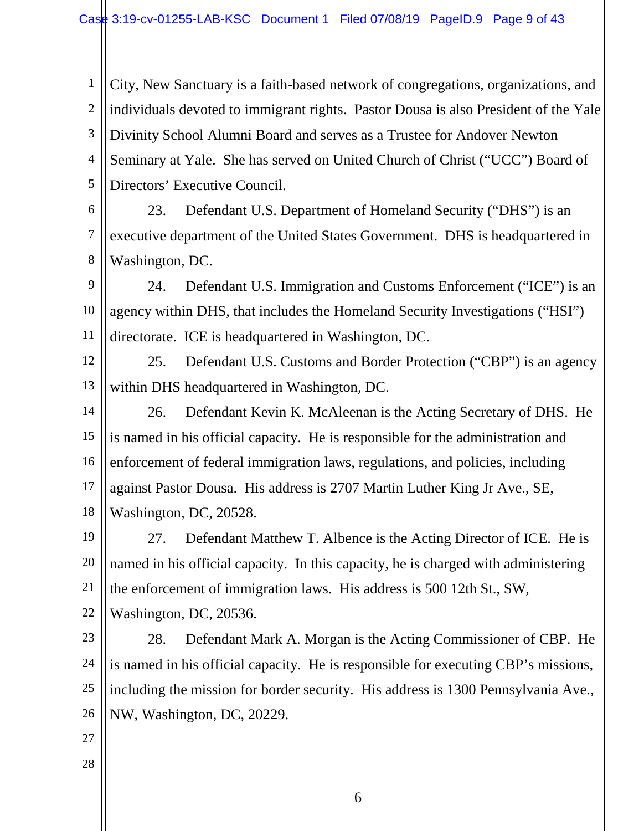1 2 3 4 5 City, New Sanctuary is a faith-based network of congregations, organizations, and individuals devoted to immigrant rights. Pastor Dousa is also President of the Yale Divinity School Alumni Board and serves as a Trustee for Andover Newton Seminary at Yale. She has served on United Church of Christ ("UCC") Board of Directors' Executive Council.

6 7 8 23. Defendant U.S. Department of Homeland Security ("DHS") is an executive department of the United States Government. DHS is headquartered in Washington, DC.

9 10 11 24. Defendant U.S. Immigration and Customs Enforcement ("ICE") is an agency within DHS, that includes the Homeland Security Investigations ("HSI") directorate. ICE is headquartered in Washington, DC.

12 13 25. Defendant U.S. Customs and Border Protection ("CBP") is an agency within DHS headquartered in Washington, DC.

14 15 16 17 18 26. Defendant Kevin K. McAleenan is the Acting Secretary of DHS. He is named in his official capacity. He is responsible for the administration and enforcement of federal immigration laws, regulations, and policies, including against Pastor Dousa. His address is 2707 Martin Luther King Jr Ave., SE, Washington, DC, 20528.

19 20 21 27. Defendant Matthew T. Albence is the Acting Director of ICE. He is named in his official capacity. In this capacity, he is charged with administering the enforcement of immigration laws. His address is 500 12th St., SW,

22 Washington, DC, 20536.

23 24 25 26 28. Defendant Mark A. Morgan is the Acting Commissioner of CBP. He is named in his official capacity. He is responsible for executing CBP's missions, including the mission for border security. His address is 1300 Pennsylvania Ave., NW, Washington, DC, 20229.

- 27
- 28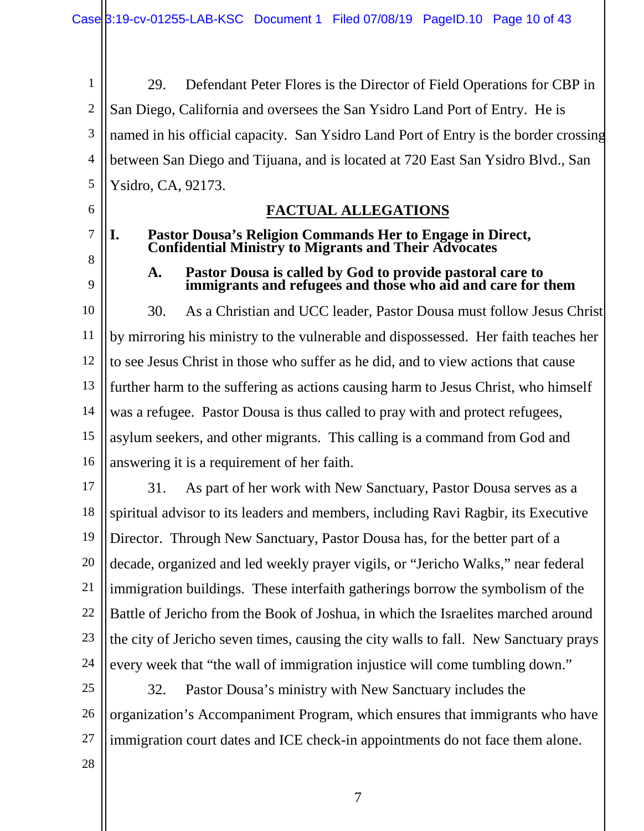1 2 3 4 5 29. Defendant Peter Flores is the Director of Field Operations for CBP in San Diego, California and oversees the San Ysidro Land Port of Entry. He is named in his official capacity. San Ysidro Land Port of Entry is the border crossing between San Diego and Tijuana, and is located at 720 East San Ysidro Blvd., San Ysidro, CA, 92173.

6

7

8

9

### **FACTUAL ALLEGATIONS**

#### **I. Pastor Dousa's Religion Commands Her to Engage in Direct, Confidential Ministry to Migrants and Their Advocates**

#### **A. Pastor Dousa is called by God to provide pastoral care to immigrants and refugees and those who aid and care for them**

10 11 12 13 14 15 16 30. As a Christian and UCC leader, Pastor Dousa must follow Jesus Christ by mirroring his ministry to the vulnerable and dispossessed. Her faith teaches her to see Jesus Christ in those who suffer as he did, and to view actions that cause further harm to the suffering as actions causing harm to Jesus Christ, who himself was a refugee. Pastor Dousa is thus called to pray with and protect refugees, asylum seekers, and other migrants. This calling is a command from God and answering it is a requirement of her faith.

17 18 19 20 21 22 23 24 31. As part of her work with New Sanctuary, Pastor Dousa serves as a spiritual advisor to its leaders and members, including Ravi Ragbir, its Executive Director. Through New Sanctuary, Pastor Dousa has, for the better part of a decade, organized and led weekly prayer vigils, or "Jericho Walks," near federal immigration buildings. These interfaith gatherings borrow the symbolism of the Battle of Jericho from the Book of Joshua, in which the Israelites marched around the city of Jericho seven times, causing the city walls to fall. New Sanctuary prays every week that "the wall of immigration injustice will come tumbling down."

25 26 27 32. Pastor Dousa's ministry with New Sanctuary includes the organization's Accompaniment Program, which ensures that immigrants who have immigration court dates and ICE check-in appointments do not face them alone.

28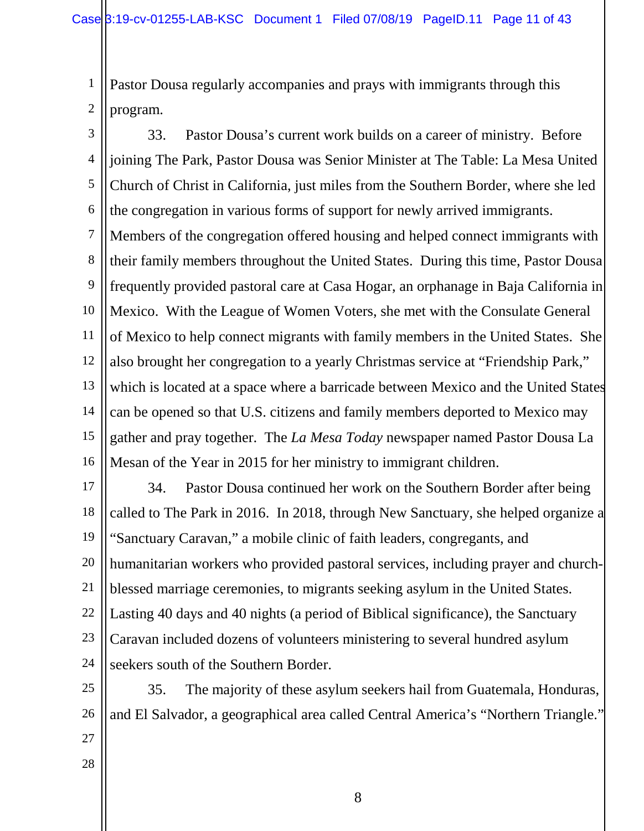1 2 Pastor Dousa regularly accompanies and prays with immigrants through this program.

3 4 5 6 7 33. Pastor Dousa's current work builds on a career of ministry. Before joining The Park, Pastor Dousa was Senior Minister at The Table: La Mesa United Church of Christ in California, just miles from the Southern Border, where she led the congregation in various forms of support for newly arrived immigrants. Members of the congregation offered housing and helped connect immigrants with

8 9 10 11 12 13 14 15 16 their family members throughout the United States. During this time, Pastor Dousa frequently provided pastoral care at Casa Hogar, an orphanage in Baja California in Mexico. With the League of Women Voters, she met with the Consulate General of Mexico to help connect migrants with family members in the United States. She also brought her congregation to a yearly Christmas service at "Friendship Park," which is located at a space where a barricade between Mexico and the United States can be opened so that U.S. citizens and family members deported to Mexico may gather and pray together. The *La Mesa Today* newspaper named Pastor Dousa La Mesan of the Year in 2015 for her ministry to immigrant children.

17 18 19 20 21 22 23 24 34. Pastor Dousa continued her work on the Southern Border after being called to The Park in 2016. In 2018, through New Sanctuary, she helped organize a "Sanctuary Caravan," a mobile clinic of faith leaders, congregants, and humanitarian workers who provided pastoral services, including prayer and churchblessed marriage ceremonies, to migrants seeking asylum in the United States. Lasting 40 days and 40 nights (a period of Biblical significance), the Sanctuary Caravan included dozens of volunteers ministering to several hundred asylum seekers south of the Southern Border.

25 26 35. The majority of these asylum seekers hail from Guatemala, Honduras, and El Salvador, a geographical area called Central America's "Northern Triangle."

- 27
- 28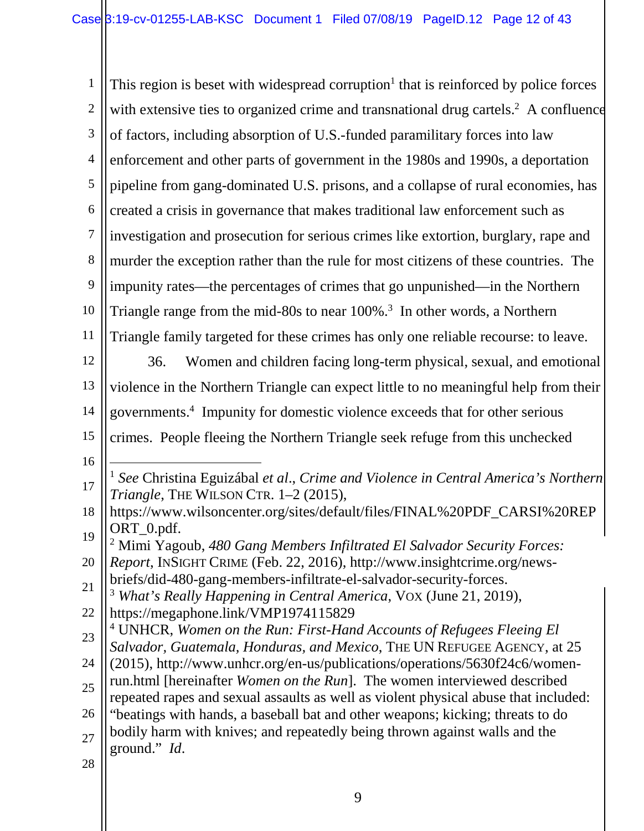1 2 3 4 5 6 7 8 9 10 11 12 13 14 15 16 17 18 19 20 21 22 23 24 25 26 27 28 This region is beset with widespread corruption<sup>1</sup> that is reinforced by police forces with extensive ties to organized crime and transnational drug cartels.<sup>2</sup> A confluence of factors, including absorption of U.S.-funded paramilitary forces into law enforcement and other parts of government in the 1980s and 1990s, a deportation pipeline from gang-dominated U.S. prisons, and a collapse of rural economies, has created a crisis in governance that makes traditional law enforcement such as investigation and prosecution for serious crimes like extortion, burglary, rape and murder the exception rather than the rule for most citizens of these countries. The impunity rates—the percentages of crimes that go unpunished—in the Northern Triangle range from the mid-80s to near 100%.<sup>3</sup> In other words, a Northern Triangle family targeted for these crimes has only one reliable recourse: to leave. 36. Women and children facing long-term physical, sexual, and emotional violence in the Northern Triangle can expect little to no meaningful help from their governments.<sup>4</sup> Impunity for domestic violence exceeds that for other serious crimes. People fleeing the Northern Triangle seek refuge from this unchecked 1 <sup>1</sup> *See* Christina Eguizábal *et al*., *Crime and Violence in Central America's Northern Triangle*, THE WILSON CTR. 1–2 (2015), https://www.wilsoncenter.org/sites/default/files/FINAL%20PDF\_CARSI%20REP ORT\_0.pdf. 2 Mimi Yagoub, *480 Gang Members Infiltrated El Salvador Security Forces: Report*, INSIGHT CRIME (Feb. 22, 2016), http://www.insightcrime.org/newsbriefs/did-480-gang-members-infiltrate-el-salvador-security-forces. <sup>3</sup> *What's Really Happening in Central America*, VOX (June 21, 2019), https://megaphone.link/VMP1974115829 4 UNHCR, *Women on the Run: First-Hand Accounts of Refugees Fleeing El Salvador, Guatemala, Honduras, and Mexico*, THE UN REFUGEE AGENCY, at 25 (2015), http://www.unhcr.org/en-us/publications/operations/5630f24c6/womenrun.html [hereinafter *Women on the Run*]. The women interviewed described repeated rapes and sexual assaults as well as violent physical abuse that included: "beatings with hands, a baseball bat and other weapons; kicking; threats to do bodily harm with knives; and repeatedly being thrown against walls and the ground." *Id*.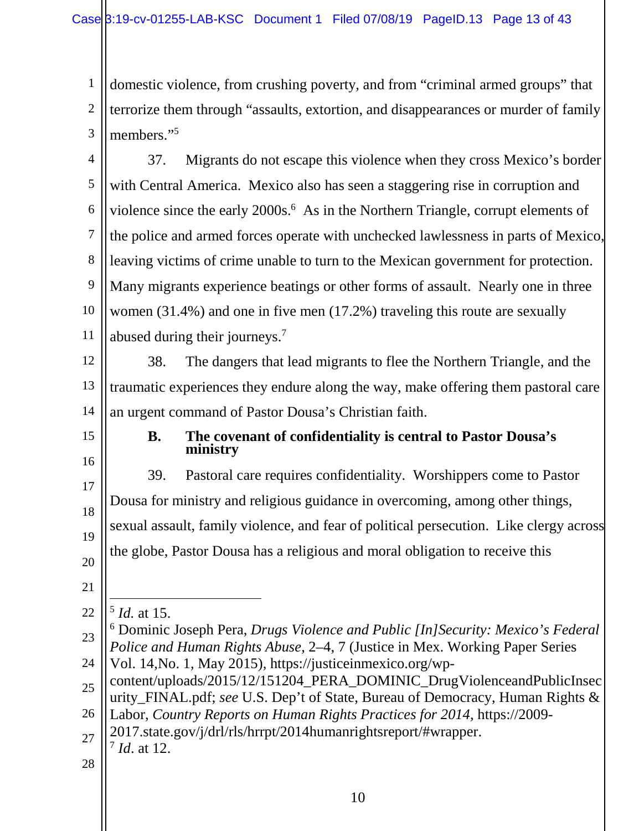1 2 3 domestic violence, from crushing poverty, and from "criminal armed groups" that terrorize them through "assaults, extortion, and disappearances or murder of family members."<sup>5</sup>

4 5 6 7 8 9 10 11 37. Migrants do not escape this violence when they cross Mexico's border with Central America. Mexico also has seen a staggering rise in corruption and violence since the early 2000s.<sup>6</sup> As in the Northern Triangle, corrupt elements of the police and armed forces operate with unchecked lawlessness in parts of Mexico, leaving victims of crime unable to turn to the Mexican government for protection. Many migrants experience beatings or other forms of assault.Nearly one in three women (31.4%) and one in five men (17.2%) traveling this route are sexually abused during their journeys.<sup>7</sup>

12 13 14 38. The dangers that lead migrants to flee the Northern Triangle, and the traumatic experiences they endure along the way, make offering them pastoral care an urgent command of Pastor Dousa's Christian faith.

15

#### **B. The covenant of confidentiality is central to Pastor Dousa's ministry**

16 17 18 19 20 39. Pastoral care requires confidentiality. Worshippers come to Pastor Dousa for ministry and religious guidance in overcoming, among other things, sexual assault, family violence, and fear of political persecution. Like clergy across the globe, Pastor Dousa has a religious and moral obligation to receive this

21

26 Labor, *Country Reports on Human Rights Practices for 2014*, https://2009-

- 27 2017.state.gov/j/drl/rls/hrrpt/2014humanrightsreport/#wrapper. 7 *Id*. at 12.
- 28

<sup>22</sup>  $\overline{a}$ 5 *Id.* at 15.

<sup>23</sup> 6 Dominic Joseph Pera, *Drugs Violence and Public [In]Security: Mexico's Federal Police and Human Rights Abuse*, 2–4, 7 (Justice in Mex. Working Paper Series

<sup>24</sup> Vol. 14,No. 1, May 2015), https://justiceinmexico.org/wp-

<sup>25</sup> content/uploads/2015/12/151204\_PERA\_DOMINIC\_DrugViolenceandPublicInsec urity\_FINAL.pdf; *see* U.S. Dep't of State, Bureau of Democracy, Human Rights &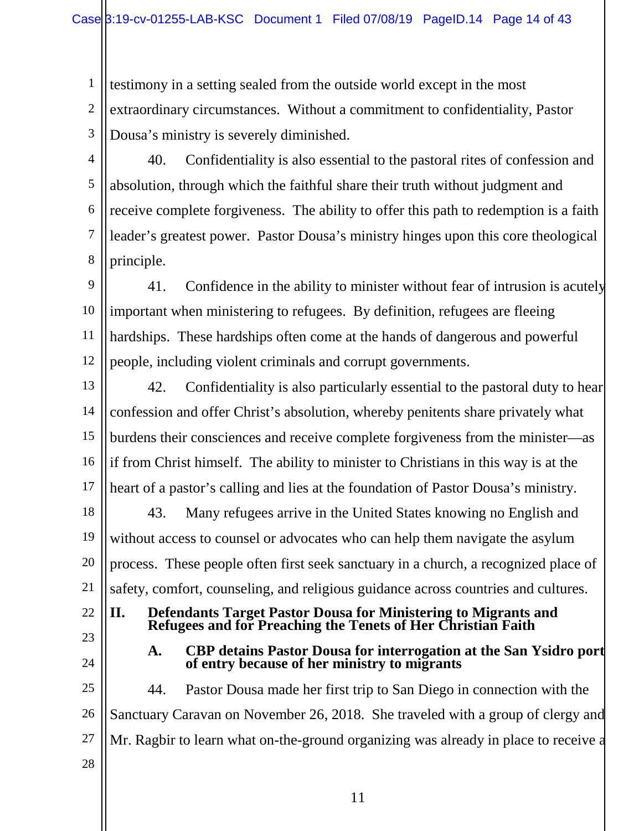1 2 3 testimony in a setting sealed from the outside world except in the most extraordinary circumstances. Without a commitment to confidentiality, Pastor Dousa's ministry is severely diminished.

4 5

6

7

8

40. Confidentiality is also essential to the pastoral rites of confession and absolution, through which the faithful share their truth without judgment and receive complete forgiveness. The ability to offer this path to redemption is a faith leader's greatest power. Pastor Dousa's ministry hinges upon this core theological principle.

9 10 11 12 41. Confidence in the ability to minister without fear of intrusion is acutely important when ministering to refugees. By definition, refugees are fleeing hardships. These hardships often come at the hands of dangerous and powerful people, including violent criminals and corrupt governments.

13 14 15 16 17 42. Confidentiality is also particularly essential to the pastoral duty to hear confession and offer Christ's absolution, whereby penitents share privately what burdens their consciences and receive complete forgiveness from the minister—as if from Christ himself. The ability to minister to Christians in this way is at the heart of a pastor's calling and lies at the foundation of Pastor Dousa's ministry.

18 19 20 21 43. Many refugees arrive in the United States knowing no English and without access to counsel or advocates who can help them navigate the asylum process. These people often first seek sanctuary in a church, a recognized place of safety, comfort, counseling, and religious guidance across countries and cultures.

## 22

- 23 24
- **II. Defendants Target Pastor Dousa for Ministering to Migrants and Refugees and for Preaching the Tenets of Her Christian Faith**

**A. CBP detains Pastor Dousa for interrogation at the San Ysidro port of entry because of her ministry to migrants** 

25 26 27 28 44. Pastor Dousa made her first trip to San Diego in connection with the Sanctuary Caravan on November 26, 2018. She traveled with a group of clergy and Mr. Ragbir to learn what on-the-ground organizing was already in place to receive a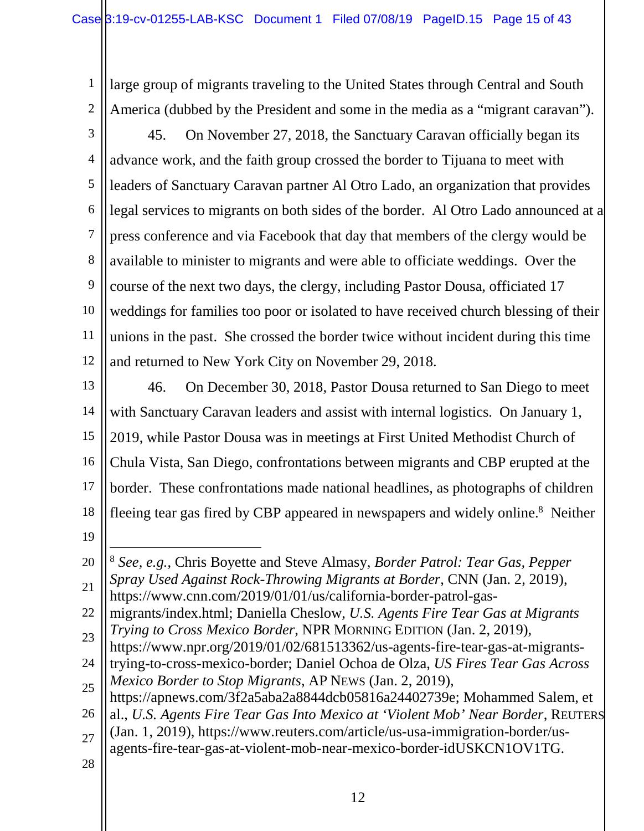1 2 large group of migrants traveling to the United States through Central and South America (dubbed by the President and some in the media as a "migrant caravan").

3 4 5 6 7 8 9 10 11 12 45. On November 27, 2018, the Sanctuary Caravan officially began its advance work, and the faith group crossed the border to Tijuana to meet with leaders of Sanctuary Caravan partner Al Otro Lado, an organization that provides legal services to migrants on both sides of the border. Al Otro Lado announced at a press conference and via Facebook that day that members of the clergy would be available to minister to migrants and were able to officiate weddings. Over the course of the next two days, the clergy, including Pastor Dousa, officiated 17 weddings for families too poor or isolated to have received church blessing of their unions in the past. She crossed the border twice without incident during this time and returned to New York City on November 29, 2018.

13 14 15 16 17 18 46. On December 30, 2018, Pastor Dousa returned to San Diego to meet with Sanctuary Caravan leaders and assist with internal logistics. On January 1, 2019, while Pastor Dousa was in meetings at First United Methodist Church of Chula Vista, San Diego, confrontations between migrants and CBP erupted at the border. These confrontations made national headlines, as photographs of children fleeing tear gas fired by CBP appeared in newspapers and widely online.<sup>8</sup> Neither

19

1

20 <sup>8</sup> *See, e.g.*, Chris Boyette and Steve Almasy, *Border Patrol: Tear Gas, Pepper Spray Used Against Rock-Throwing Migrants at Border*, CNN (Jan. 2, 2019),

21 https://www.cnn.com/2019/01/01/us/california-border-patrol-gas-

22 migrants/index.html; Daniella Cheslow, *U.S. Agents Fire Tear Gas at Migrants Trying to Cross Mexico Border*, NPR MORNING EDITION (Jan. 2, 2019),

- 23 https://www.npr.org/2019/01/02/681513362/us-agents-fire-tear-gas-at-migrants-
- 24 trying-to-cross-mexico-border; Daniel Ochoa de Olza, *US Fires Tear Gas Across Mexico Border to Stop Migrants*, AP NEWS (Jan. 2, 2019),
- 25 https://apnews.com/3f2a5aba2a8844dcb05816a24402739e; Mohammed Salem, et

- 27 agents-fire-tear-gas-at-violent-mob-near-mexico-border-idUSKCN1OV1TG.
- 28

<sup>26</sup> al., *U.S. Agents Fire Tear Gas Into Mexico at 'Violent Mob' Near Border*, REUTERS (Jan. 1, 2019), https://www.reuters.com/article/us-usa-immigration-border/us-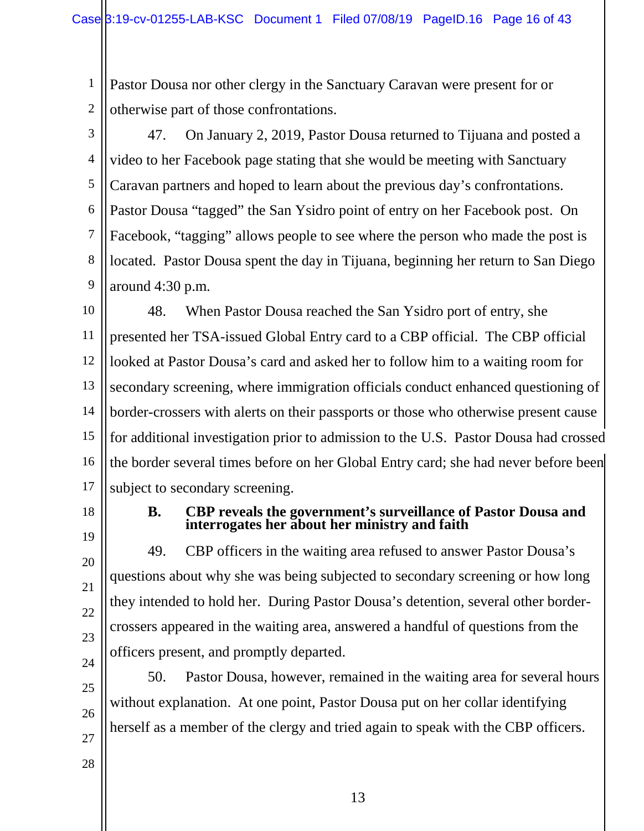1 2 Pastor Dousa nor other clergy in the Sanctuary Caravan were present for or otherwise part of those confrontations.

3 4 5 6 7 8 9 47. On January 2, 2019, Pastor Dousa returned to Tijuana and posted a video to her Facebook page stating that she would be meeting with Sanctuary Caravan partners and hoped to learn about the previous day's confrontations. Pastor Dousa "tagged" the San Ysidro point of entry on her Facebook post. On Facebook, "tagging" allows people to see where the person who made the post is located. Pastor Dousa spent the day in Tijuana, beginning her return to San Diego around 4:30 p.m.

10 11 12 13 14 15 16 17 48. When Pastor Dousa reached the San Ysidro port of entry, she presented her TSA-issued Global Entry card to a CBP official. The CBP official looked at Pastor Dousa's card and asked her to follow him to a waiting room for secondary screening, where immigration officials conduct enhanced questioning of border-crossers with alerts on their passports or those who otherwise present cause for additional investigation prior to admission to the U.S. Pastor Dousa had crossed the border several times before on her Global Entry card; she had never before been subject to secondary screening.

18

19

20

21

22

23

24

25

26

#### **B. CBP reveals the government's surveillance of Pastor Dousa and interrogates her about her ministry and faith**

49. CBP officers in the waiting area refused to answer Pastor Dousa's questions about why she was being subjected to secondary screening or how long they intended to hold her. During Pastor Dousa's detention, several other bordercrossers appeared in the waiting area, answered a handful of questions from the officers present, and promptly departed.

50. Pastor Dousa, however, remained in the waiting area for several hours without explanation. At one point, Pastor Dousa put on her collar identifying herself as a member of the clergy and tried again to speak with the CBP officers.

28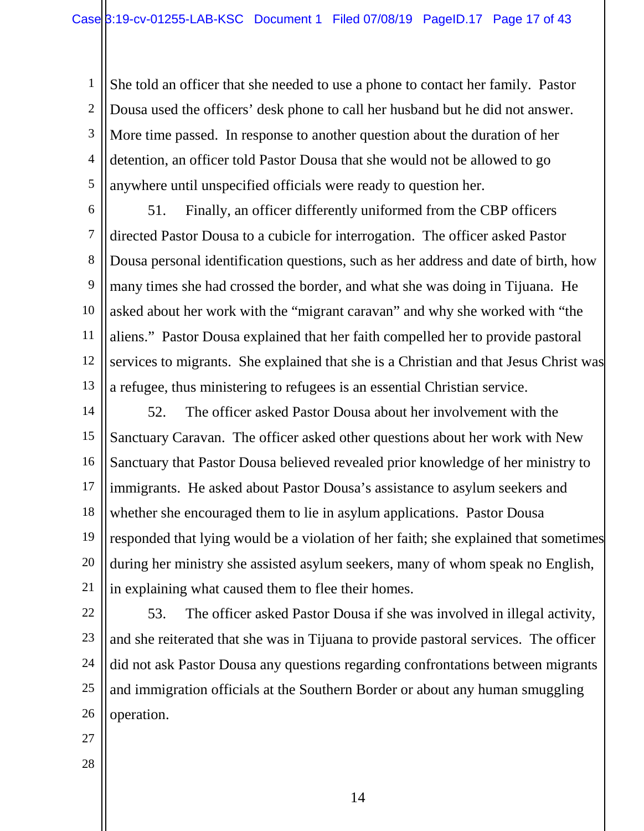1 2 3 4 5 She told an officer that she needed to use a phone to contact her family. Pastor Dousa used the officers' desk phone to call her husband but he did not answer. More time passed. In response to another question about the duration of her detention, an officer told Pastor Dousa that she would not be allowed to go anywhere until unspecified officials were ready to question her.

6 7 8 9 10 11 12 13 51. Finally, an officer differently uniformed from the CBP officers directed Pastor Dousa to a cubicle for interrogation. The officer asked Pastor Dousa personal identification questions, such as her address and date of birth, how many times she had crossed the border, and what she was doing in Tijuana. He asked about her work with the "migrant caravan" and why she worked with "the aliens." Pastor Dousa explained that her faith compelled her to provide pastoral services to migrants. She explained that she is a Christian and that Jesus Christ was a refugee, thus ministering to refugees is an essential Christian service.

14 15 16 17 18 19 20 21 52. The officer asked Pastor Dousa about her involvement with the Sanctuary Caravan. The officer asked other questions about her work with New Sanctuary that Pastor Dousa believed revealed prior knowledge of her ministry to immigrants. He asked about Pastor Dousa's assistance to asylum seekers and whether she encouraged them to lie in asylum applications. Pastor Dousa responded that lying would be a violation of her faith; she explained that sometimes during her ministry she assisted asylum seekers, many of whom speak no English, in explaining what caused them to flee their homes.

22 23 24 25 26 53. The officer asked Pastor Dousa if she was involved in illegal activity, and she reiterated that she was in Tijuana to provide pastoral services. The officer did not ask Pastor Dousa any questions regarding confrontations between migrants and immigration officials at the Southern Border or about any human smuggling operation.

- 27
- 28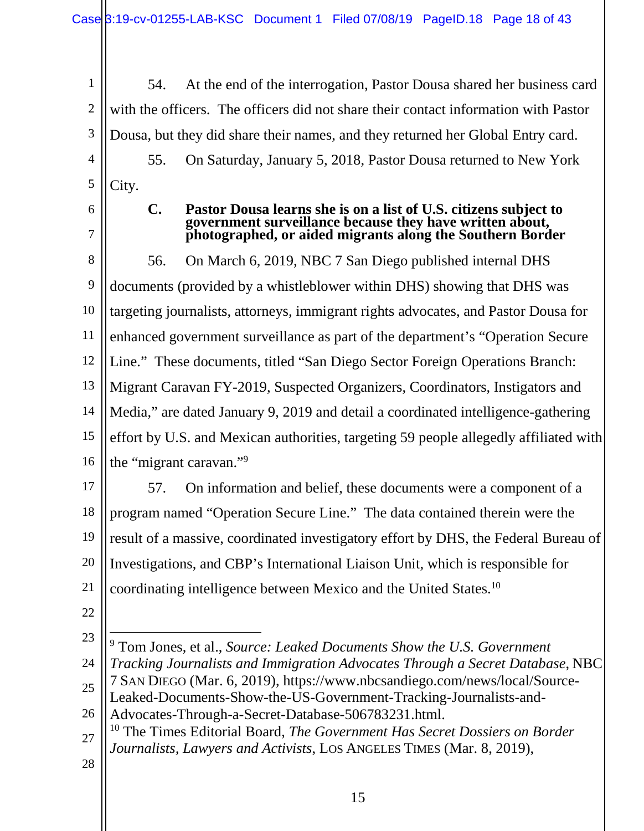1 2 3 4 5 54. At the end of the interrogation, Pastor Dousa shared her business card with the officers. The officers did not share their contact information with Pastor Dousa, but they did share their names, and they returned her Global Entry card. 55. On Saturday, January 5, 2018, Pastor Dousa returned to New York City.

6 7

#### **C. Pastor Dousa learns she is on a list of U.S. citizens subject to government surveillance because they have written about, photographed, or aided migrants along the Southern Border**

8 9 10 11 12 13 14 15 16 56. On March 6, 2019, NBC 7 San Diego published internal DHS documents (provided by a whistleblower within DHS) showing that DHS was targeting journalists, attorneys, immigrant rights advocates, and Pastor Dousa for enhanced government surveillance as part of the department's "Operation Secure Line." These documents, titled "San Diego Sector Foreign Operations Branch: Migrant Caravan FY-2019, Suspected Organizers, Coordinators, Instigators and Media," are dated January 9, 2019 and detail a coordinated intelligence-gathering effort by U.S. and Mexican authorities, targeting 59 people allegedly affiliated with the "migrant caravan."<sup>9</sup>

17 18 19 20 21 57. On information and belief, these documents were a component of a program named "Operation Secure Line." The data contained therein were the result of a massive, coordinated investigatory effort by DHS, the Federal Bureau of Investigations, and CBP's International Liaison Unit, which is responsible for coordinating intelligence between Mexico and the United States.<sup>10</sup>

- 22
- 23

- 26 Advocates-Through-a-Secret-Database-506783231.html.
- 27 <sup>10</sup> The Times Editorial Board, *The Government Has Secret Dossiers on Border Journalists, Lawyers and Activists*, LOS ANGELES TIMES (Mar. 8, 2019),
- 28

<sup>9</sup> Tom Jones, et al., *Source: Leaked Documents Show the U.S. Government Tracking Journalists and Immigration Advocates Through a Secret Database*, NBC

<sup>24</sup> 25 7 SAN DIEGO (Mar. 6, 2019), https://www.nbcsandiego.com/news/local/Source-Leaked-Documents-Show-the-US-Government-Tracking-Journalists-and-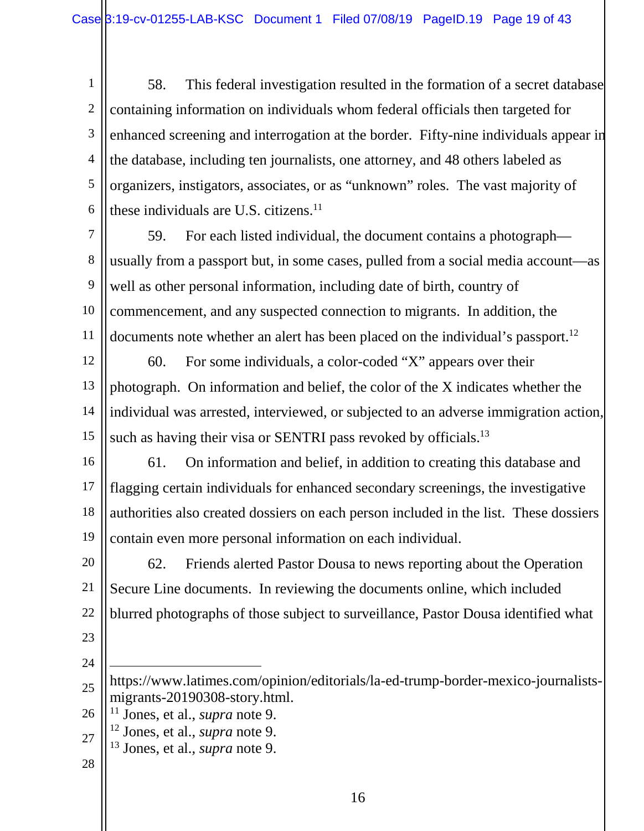1 2 3 4 5 6 58. This federal investigation resulted in the formation of a secret database containing information on individuals whom federal officials then targeted for enhanced screening and interrogation at the border. Fifty-nine individuals appear in the database, including ten journalists, one attorney, and 48 others labeled as organizers, instigators, associates, or as "unknown" roles. The vast majority of these individuals are U.S. citizens.<sup>11</sup>

7 8 9 10 11 59. For each listed individual, the document contains a photograph usually from a passport but, in some cases, pulled from a social media account—as well as other personal information, including date of birth, country of commencement, and any suspected connection to migrants. In addition, the documents note whether an alert has been placed on the individual's passport.<sup>12</sup>

12 13 14 15 60. For some individuals, a color-coded "X" appears over their photograph. On information and belief, the color of the X indicates whether the individual was arrested, interviewed, or subjected to an adverse immigration action, such as having their visa or SENTRI pass revoked by officials.<sup>13</sup>

16

17 18 19 61. On information and belief, in addition to creating this database and flagging certain individuals for enhanced secondary screenings, the investigative authorities also created dossiers on each person included in the list. These dossiers contain even more personal information on each individual.

20 21 22 62. Friends alerted Pastor Dousa to news reporting about the Operation Secure Line documents. In reviewing the documents online, which included blurred photographs of those subject to surveillance, Pastor Dousa identified what

- 23
- 24

1

<sup>25</sup> https://www.latimes.com/opinion/editorials/la-ed-trump-border-mexico-journalistsmigrants-20190308-story.html.

<sup>26</sup> <sup>11</sup> Jones, et al., *supra* note 9.

<sup>27</sup> <sup>12</sup> Jones, et al., *supra* note 9.

<sup>13</sup> Jones, et al., *supra* note 9.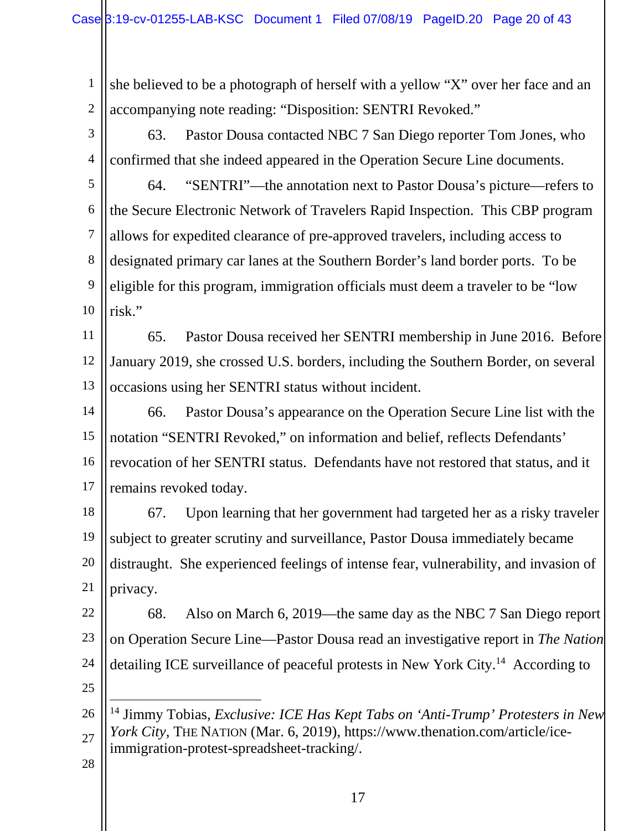1 2 she believed to be a photograph of herself with a yellow "X" over her face and an accompanying note reading: "Disposition: SENTRI Revoked."

3 4 63. Pastor Dousa contacted NBC 7 San Diego reporter Tom Jones, who confirmed that she indeed appeared in the Operation Secure Line documents.

5 6 7 8 9 10 64. "SENTRI"—the annotation next to Pastor Dousa's picture—refers to the Secure Electronic Network of Travelers Rapid Inspection. This CBP program allows for expedited clearance of pre-approved travelers, including access to designated primary car lanes at the Southern Border's land border ports. To be eligible for this program, immigration officials must deem a traveler to be "low risk."

11 12 13 65. Pastor Dousa received her SENTRI membership in June 2016. Before January 2019, she crossed U.S. borders, including the Southern Border, on several occasions using her SENTRI status without incident.

14 15 16 17 66. Pastor Dousa's appearance on the Operation Secure Line list with the notation "SENTRI Revoked," on information and belief, reflects Defendants' revocation of her SENTRI status. Defendants have not restored that status, and it remains revoked today.

18 19 20 21 67. Upon learning that her government had targeted her as a risky traveler subject to greater scrutiny and surveillance, Pastor Dousa immediately became distraught. She experienced feelings of intense fear, vulnerability, and invasion of privacy.

22 23 24 68. Also on March 6, 2019—the same day as the NBC 7 San Diego report on Operation Secure Line—Pastor Dousa read an investigative report in *The Nation* detailing ICE surveillance of peaceful protests in New York City.<sup>14</sup> According to

25

1

<sup>26</sup> 27 <sup>14</sup> Jimmy Tobias, *Exclusive: ICE Has Kept Tabs on 'Anti-Trump' Protesters in New York City*, THE NATION (Mar. 6, 2019), https://www.thenation.com/article/iceimmigration-protest-spreadsheet-tracking/.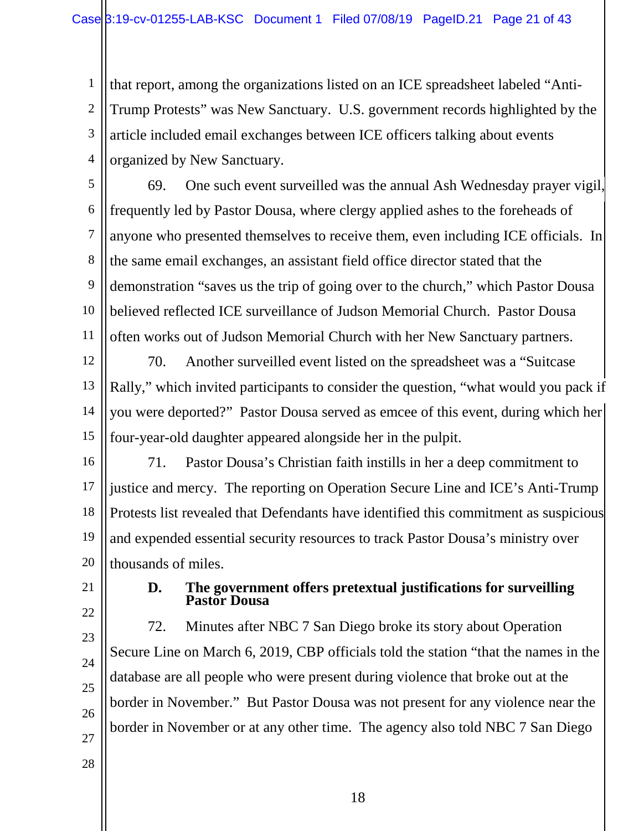1 2 3 4 that report, among the organizations listed on an ICE spreadsheet labeled "Anti-Trump Protests" was New Sanctuary. U.S. government records highlighted by the article included email exchanges between ICE officers talking about events organized by New Sanctuary.

5 6 7 8 9 10 11 69. One such event surveilled was the annual Ash Wednesday prayer vigil, frequently led by Pastor Dousa, where clergy applied ashes to the foreheads of anyone who presented themselves to receive them, even including ICE officials. In the same email exchanges, an assistant field office director stated that the demonstration "saves us the trip of going over to the church," which Pastor Dousa believed reflected ICE surveillance of Judson Memorial Church. Pastor Dousa often works out of Judson Memorial Church with her New Sanctuary partners.

12 13 14 15 70. Another surveilled event listed on the spreadsheet was a "Suitcase Rally," which invited participants to consider the question, "what would you pack if you were deported?" Pastor Dousa served as emcee of this event, during which her four-year-old daughter appeared alongside her in the pulpit.

- 16 17 18 19 20 71. Pastor Dousa's Christian faith instills in her a deep commitment to justice and mercy. The reporting on Operation Secure Line and ICE's Anti-Trump Protests list revealed that Defendants have identified this commitment as suspicious and expended essential security resources to track Pastor Dousa's ministry over thousands of miles.
- 21
- 22

#### **D. The government offers pretextual justifications for surveilling Pastor Dousa**

23 24 25 26 72. Minutes after NBC 7 San Diego broke its story about Operation Secure Line on March 6, 2019, CBP officials told the station "that the names in the database are all people who were present during violence that broke out at the border in November." But Pastor Dousa was not present for any violence near the border in November or at any other time. The agency also told NBC 7 San Diego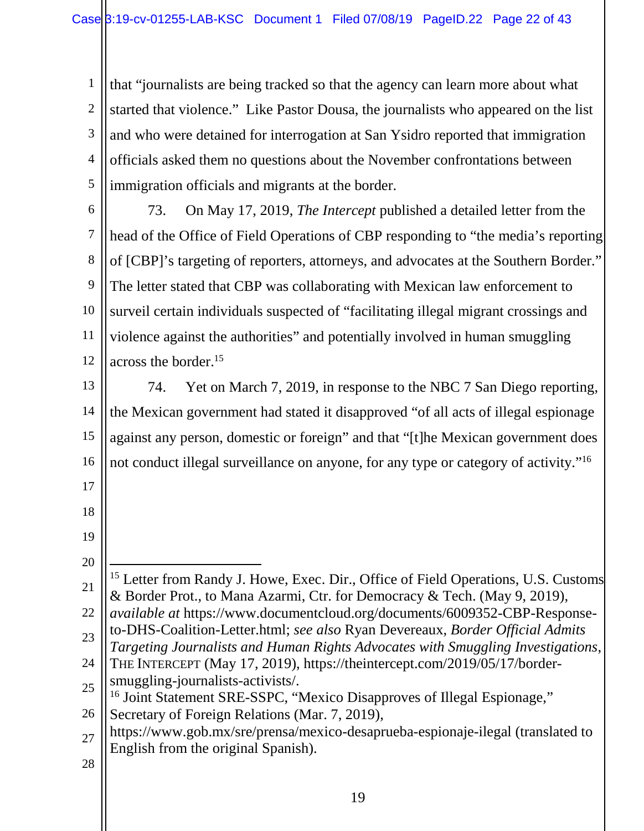1 2 3 4 5 that "journalists are being tracked so that the agency can learn more about what started that violence." Like Pastor Dousa, the journalists who appeared on the list and who were detained for interrogation at San Ysidro reported that immigration officials asked them no questions about the November confrontations between immigration officials and migrants at the border.

6

7 8 9 10 11 12 73. On May 17, 2019, *The Intercept* published a detailed letter from the head of the Office of Field Operations of CBP responding to "the media's reporting of [CBP]'s targeting of reporters, attorneys, and advocates at the Southern Border." The letter stated that CBP was collaborating with Mexican law enforcement to surveil certain individuals suspected of "facilitating illegal migrant crossings and violence against the authorities" and potentially involved in human smuggling across the border.<sup>15</sup>

13

14 15 16 74. Yet on March 7, 2019, in response to the NBC 7 San Diego reporting, the Mexican government had stated it disapproved "of all acts of illegal espionage against any person, domestic or foreign" and that "[t]he Mexican government does not conduct illegal surveillance on anyone, for any type or category of activity."<sup>16</sup>

- 17
- 18 19
- 20
- 21 <u>.</u> <sup>15</sup> Letter from Randy J. Howe, Exec. Dir., Office of Field Operations, U.S. Customs & Border Prot., to Mana Azarmi, Ctr. for Democracy & Tech. (May 9, 2019),
- 22 23 *available at* https://www.documentcloud.org/documents/6009352-CBP-Responseto-DHS-Coalition-Letter.html; *see also* Ryan Devereaux, *Border Official Admits*
- 24 *Targeting Journalists and Human Rights Advocates with Smuggling Investigations*, THE INTERCEPT (May 17, 2019), https://theintercept.com/2019/05/17/border-
- 25 smuggling-journalists-activists/. <sup>16</sup> Joint Statement SRE-SSPC, "Mexico Disapproves of Illegal Espionage,"
- 26 Secretary of Foreign Relations (Mar. 7, 2019),
- 27 https://www.gob.mx/sre/prensa/mexico-desaprueba-espionaje-ilegal (translated to English from the original Spanish).
- 28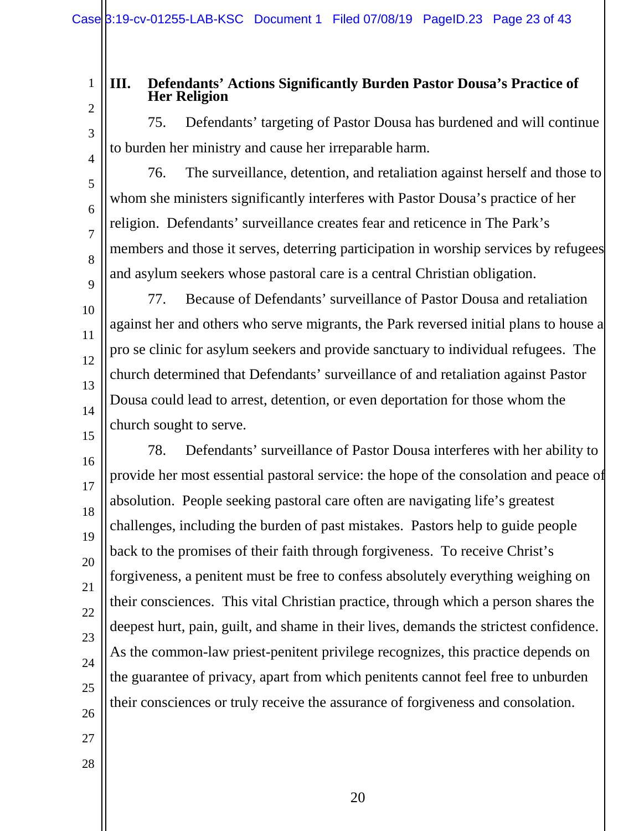to burden her ministry and cause her irreparable harm.

#### **III. Defendants' Actions Significantly Burden Pastor Dousa's Practice of Her Religion**

2

1

# 75. Defendants' targeting of Pastor Dousa has burdened and will continue

3

4

5

6

7

8

9

10

11

12

13

14

15

76. The surveillance, detention, and retaliation against herself and those to whom she ministers significantly interferes with Pastor Dousa's practice of her religion. Defendants' surveillance creates fear and reticence in The Park's members and those it serves, deterring participation in worship services by refugees and asylum seekers whose pastoral care is a central Christian obligation.

77. Because of Defendants' surveillance of Pastor Dousa and retaliation against her and others who serve migrants, the Park reversed initial plans to house a pro se clinic for asylum seekers and provide sanctuary to individual refugees. The church determined that Defendants' surveillance of and retaliation against Pastor Dousa could lead to arrest, detention, or even deportation for those whom the church sought to serve.

16 17 18 19 20 21 22 23 24 25 26 78. Defendants' surveillance of Pastor Dousa interferes with her ability to provide her most essential pastoral service: the hope of the consolation and peace of absolution. People seeking pastoral care often are navigating life's greatest challenges, including the burden of past mistakes. Pastors help to guide people back to the promises of their faith through forgiveness. To receive Christ's forgiveness, a penitent must be free to confess absolutely everything weighing on their consciences. This vital Christian practice, through which a person shares the deepest hurt, pain, guilt, and shame in their lives, demands the strictest confidence. As the common-law priest-penitent privilege recognizes, this practice depends on the guarantee of privacy, apart from which penitents cannot feel free to unburden their consciences or truly receive the assurance of forgiveness and consolation.

- 27
- 28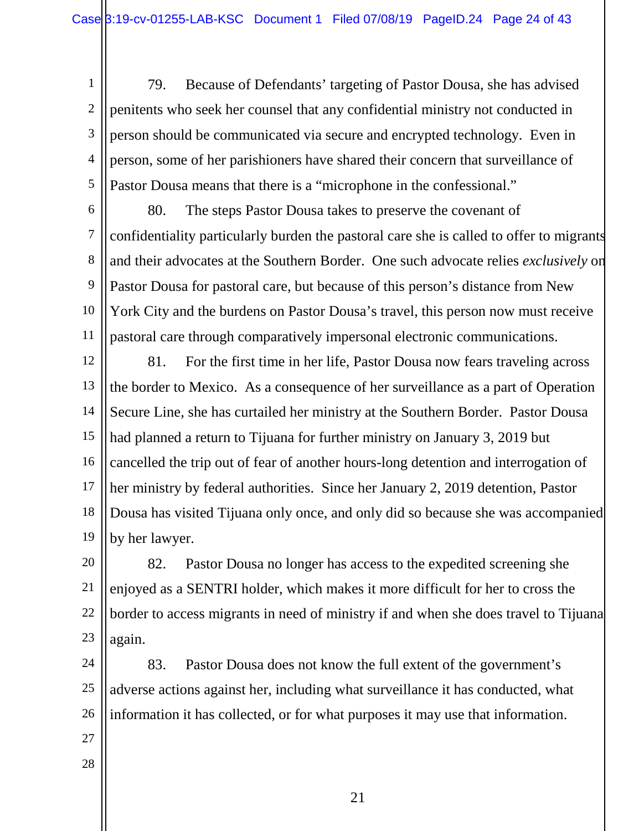1 2 3 4 5 79. Because of Defendants' targeting of Pastor Dousa, she has advised penitents who seek her counsel that any confidential ministry not conducted in person should be communicated via secure and encrypted technology. Even in person, some of her parishioners have shared their concern that surveillance of Pastor Dousa means that there is a "microphone in the confessional."

6 7 8 9 10 11 80. The steps Pastor Dousa takes to preserve the covenant of confidentiality particularly burden the pastoral care she is called to offer to migrants and their advocates at the Southern Border. One such advocate relies *exclusively* on Pastor Dousa for pastoral care, but because of this person's distance from New York City and the burdens on Pastor Dousa's travel, this person now must receive pastoral care through comparatively impersonal electronic communications.

12 13 14 15 16 17 18 19 81. For the first time in her life, Pastor Dousa now fears traveling across the border to Mexico. As a consequence of her surveillance as a part of Operation Secure Line, she has curtailed her ministry at the Southern Border. Pastor Dousa had planned a return to Tijuana for further ministry on January 3, 2019 but cancelled the trip out of fear of another hours-long detention and interrogation of her ministry by federal authorities. Since her January 2, 2019 detention, Pastor Dousa has visited Tijuana only once, and only did so because she was accompanied by her lawyer.

20 21 22 23 82. Pastor Dousa no longer has access to the expedited screening she enjoyed as a SENTRI holder, which makes it more difficult for her to cross the border to access migrants in need of ministry if and when she does travel to Tijuana again.

24 25 26 83. Pastor Dousa does not know the full extent of the government's adverse actions against her, including what surveillance it has conducted, what information it has collected, or for what purposes it may use that information.

- 27
- 28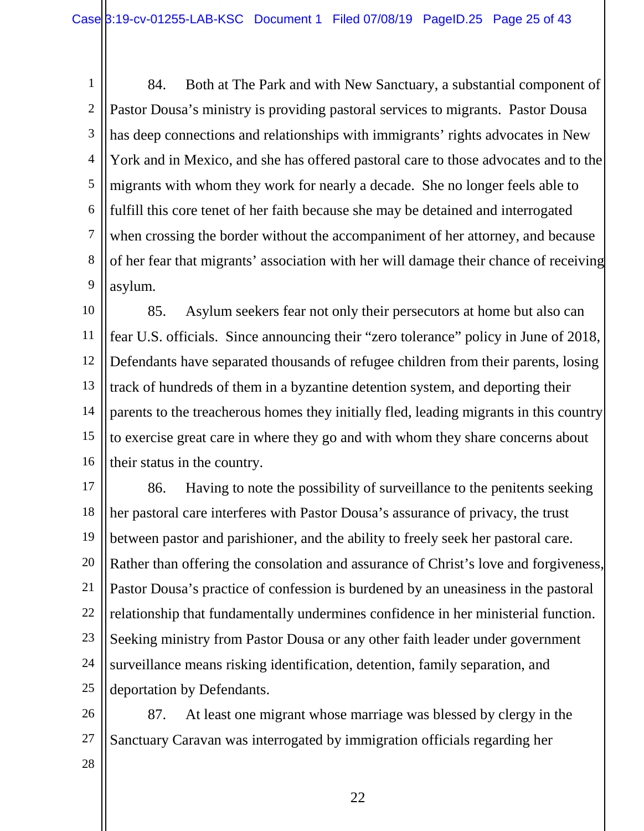1 2 3 4 5 6 7 8 9 84. Both at The Park and with New Sanctuary, a substantial component of Pastor Dousa's ministry is providing pastoral services to migrants. Pastor Dousa has deep connections and relationships with immigrants' rights advocates in New York and in Mexico, and she has offered pastoral care to those advocates and to the migrants with whom they work for nearly a decade. She no longer feels able to fulfill this core tenet of her faith because she may be detained and interrogated when crossing the border without the accompaniment of her attorney, and because of her fear that migrants' association with her will damage their chance of receiving asylum.

10 11 12 13 14 15 16 85. Asylum seekers fear not only their persecutors at home but also can fear U.S. officials. Since announcing their "zero tolerance" policy in June of 2018, Defendants have separated thousands of refugee children from their parents, losing track of hundreds of them in a byzantine detention system, and deporting their parents to the treacherous homes they initially fled, leading migrants in this country to exercise great care in where they go and with whom they share concerns about their status in the country.

17 18 19 20 21 22 23 24 25 86. Having to note the possibility of surveillance to the penitents seeking her pastoral care interferes with Pastor Dousa's assurance of privacy, the trust between pastor and parishioner, and the ability to freely seek her pastoral care. Rather than offering the consolation and assurance of Christ's love and forgiveness, Pastor Dousa's practice of confession is burdened by an uneasiness in the pastoral relationship that fundamentally undermines confidence in her ministerial function. Seeking ministry from Pastor Dousa or any other faith leader under government surveillance means risking identification, detention, family separation, and deportation by Defendants.

26 27 87. At least one migrant whose marriage was blessed by clergy in the Sanctuary Caravan was interrogated by immigration officials regarding her

28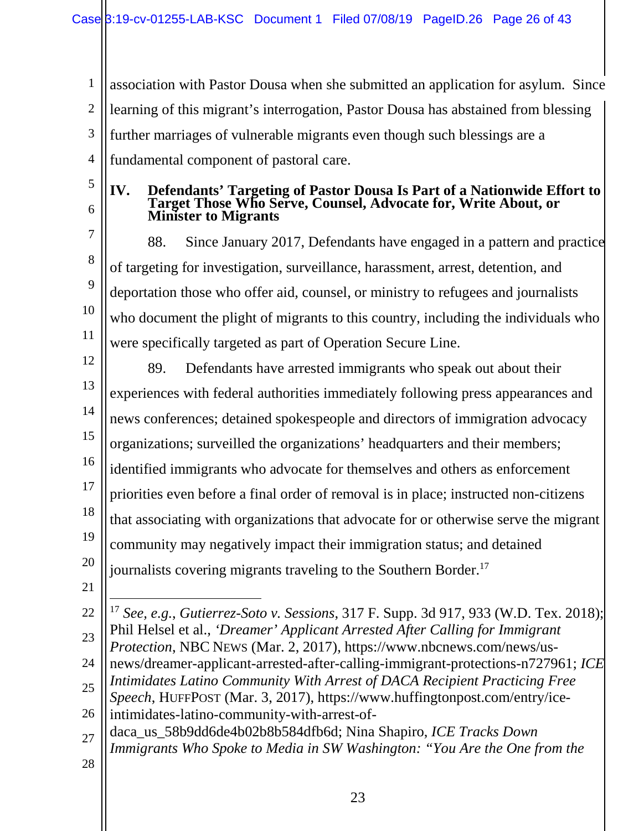1 2 3 4 association with Pastor Dousa when she submitted an application for asylum. Since learning of this migrant's interrogation, Pastor Dousa has abstained from blessing further marriages of vulnerable migrants even though such blessings are a fundamental component of pastoral care.

- 5
- 6

#### **IV. Defendants' Targeting of Pastor Dousa Is Part of a Nationwide Effort to Target Those Who Serve, Counsel, Advocate for, Write About, or Minister to Migrants**

7 8 9 10 11 88. Since January 2017, Defendants have engaged in a pattern and practice of targeting for investigation, surveillance, harassment, arrest, detention, and deportation those who offer aid, counsel, or ministry to refugees and journalists who document the plight of migrants to this country, including the individuals who were specifically targeted as part of Operation Secure Line.

- 12 13 14 15 16 17 18 19 20 89. Defendants have arrested immigrants who speak out about their experiences with federal authorities immediately following press appearances and news conferences; detained spokespeople and directors of immigration advocacy organizations; surveilled the organizations' headquarters and their members; identified immigrants who advocate for themselves and others as enforcement priorities even before a final order of removal is in place; instructed non-citizens that associating with organizations that advocate for or otherwise serve the migrant community may negatively impact their immigration status; and detained journalists covering migrants traveling to the Southern Border.<sup>17</sup>
- 21

22 23  $\overline{a}$ <sup>17</sup> *See, e.g.*, *Gutierrez-Soto v. Sessions*, 317 F. Supp. 3d 917, 933 (W.D. Tex. 2018); Phil Helsel et al., *'Dreamer' Applicant Arrested After Calling for Immigrant Protection*, NBC NEWS (Mar. 2, 2017), https://www.nbcnews.com/news/us-

- 24 news/dreamer-applicant-arrested-after-calling-immigrant-protections-n727961; *ICE Intimidates Latino Community With Arrest of DACA Recipient Practicing Free*
- 25 26 *Speech*, HUFFPOST (Mar. 3, 2017), https://www.huffingtonpost.com/entry/iceintimidates-latino-community-with-arrest-of-
- 27 28 daca\_us\_58b9dd6de4b02b8b584dfb6d; Nina Shapiro, *ICE Tracks Down Immigrants Who Spoke to Media in SW Washington: "You Are the One from the*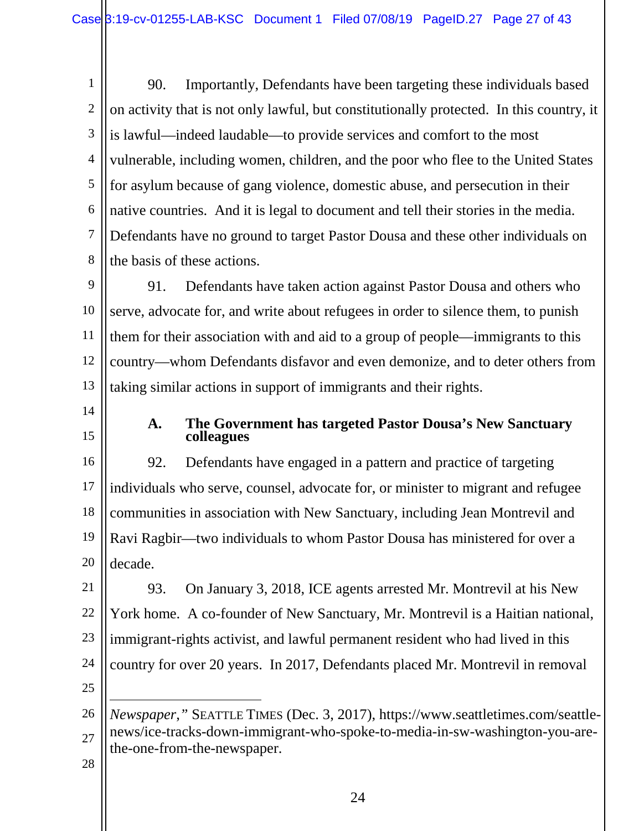1 2 3 4 5 6 7 8 90. Importantly, Defendants have been targeting these individuals based on activity that is not only lawful, but constitutionally protected. In this country, it is lawful—indeed laudable—to provide services and comfort to the most vulnerable, including women, children, and the poor who flee to the United States for asylum because of gang violence, domestic abuse, and persecution in their native countries. And it is legal to document and tell their stories in the media. Defendants have no ground to target Pastor Dousa and these other individuals on the basis of these actions.

9 10 11 12 13 91. Defendants have taken action against Pastor Dousa and others who serve, advocate for, and write about refugees in order to silence them, to punish them for their association with and aid to a group of people—immigrants to this country—whom Defendants disfavor and even demonize, and to deter others from taking similar actions in support of immigrants and their rights.

14

15

#### **A. The Government has targeted Pastor Dousa's New Sanctuary colleagues**

16 17 18 19 20 92. Defendants have engaged in a pattern and practice of targeting individuals who serve, counsel, advocate for, or minister to migrant and refugee communities in association with New Sanctuary, including Jean Montrevil and Ravi Ragbir—two individuals to whom Pastor Dousa has ministered for over a decade.

21 22 23 24 93. On January 3, 2018, ICE agents arrested Mr. Montrevil at his New York home. A co-founder of New Sanctuary, Mr. Montrevil is a Haitian national, immigrant-rights activist, and lawful permanent resident who had lived in this country for over 20 years. In 2017, Defendants placed Mr. Montrevil in removal

25

1

<sup>26</sup> 27 *Newspaper*,*"* SEATTLE TIMES (Dec. 3, 2017), https://www.seattletimes.com/seattlenews/ice-tracks-down-immigrant-who-spoke-to-media-in-sw-washington-you-arethe-one-from-the-newspaper.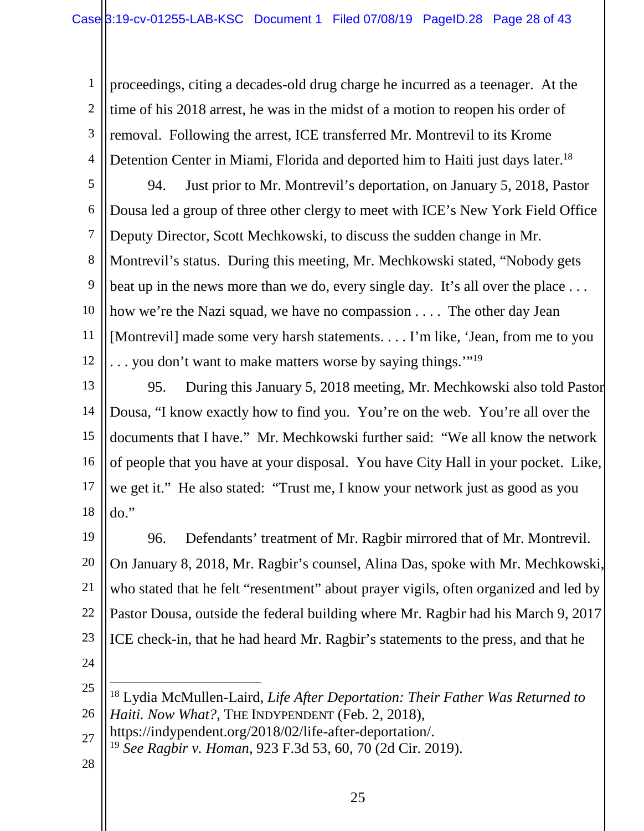1 2 3 4 proceedings, citing a decades-old drug charge he incurred as a teenager. At the time of his 2018 arrest, he was in the midst of a motion to reopen his order of removal. Following the arrest, ICE transferred Mr. Montrevil to its Krome Detention Center in Miami, Florida and deported him to Haiti just days later.<sup>18</sup>

5

6 7 8 9 10 11 12 94. Just prior to Mr. Montrevil's deportation, on January 5, 2018, Pastor Dousa led a group of three other clergy to meet with ICE's New York Field Office Deputy Director, Scott Mechkowski, to discuss the sudden change in Mr. Montrevil's status. During this meeting, Mr. Mechkowski stated, "Nobody gets beat up in the news more than we do, every single day. It's all over the place ... how we're the Nazi squad, we have no compassion .... The other day Jean [Montrevil] made some very harsh statements. . . . I'm like, 'Jean, from me to you  $\ldots$  you don't want to make matters worse by saying things."<sup>19</sup>

13 14 15 16 17 18 95. During this January 5, 2018 meeting, Mr. Mechkowski also told Pastor Dousa, "I know exactly how to find you. You're on the web. You're all over the documents that I have." Mr. Mechkowski further said: "We all know the network of people that you have at your disposal. You have City Hall in your pocket. Like, we get it." He also stated: "Trust me, I know your network just as good as you do."

19 20 21 22 23 24 96. Defendants' treatment of Mr. Ragbir mirrored that of Mr. Montrevil. On January 8, 2018, Mr. Ragbir's counsel, Alina Das, spoke with Mr. Mechkowski, who stated that he felt "resentment" about prayer vigils, often organized and led by Pastor Dousa, outside the federal building where Mr. Ragbir had his March 9, 2017 ICE check-in, that he had heard Mr. Ragbir's statements to the press, and that he

1

<sup>25</sup> 26 <sup>18</sup> Lydia McMullen-Laird, *Life After Deportation: Their Father Was Returned to Haiti. Now What?*, THE INDYPENDENT (Feb. 2, 2018),

<sup>27</sup> https://indypendent.org/2018/02/life-after-deportation/.

<sup>19</sup> *See Ragbir v. Homan*, 923 F.3d 53, 60, 70 (2d Cir. 2019).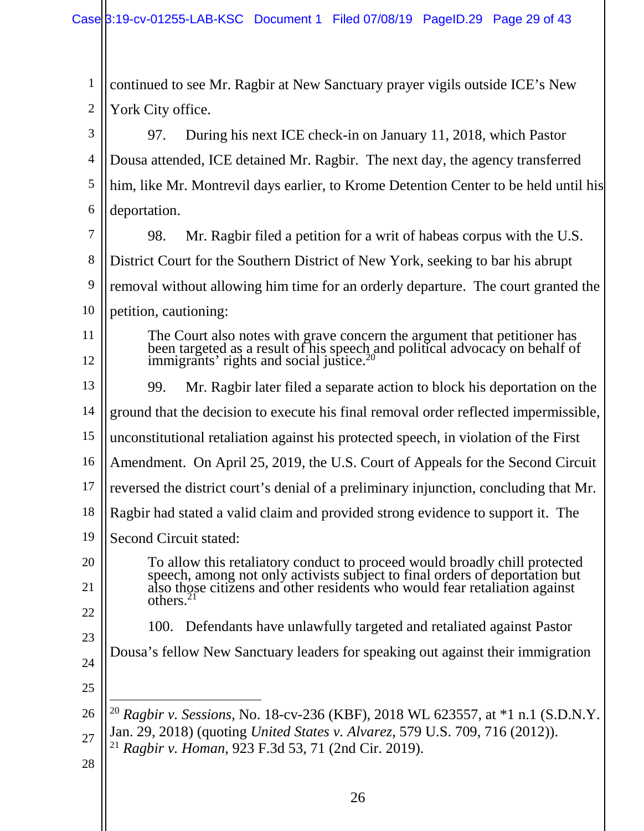1 2 continued to see Mr. Ragbir at New Sanctuary prayer vigils outside ICE's New York City office.

3 4 5 6 97. During his next ICE check-in on January 11, 2018, which Pastor Dousa attended, ICE detained Mr. Ragbir. The next day, the agency transferred him, like Mr. Montrevil days earlier, to Krome Detention Center to be held until his deportation.

7 8 9 10 11 12 13 98. Mr. Ragbir filed a petition for a writ of habeas corpus with the U.S. District Court for the Southern District of New York, seeking to bar his abrupt removal without allowing him time for an orderly departure. The court granted the petition, cautioning: The Court also notes with grave concern the argument that petitioner has been targeted as a result of his speech and political advocacy on behalf of  $\overline{\text{immigrams}}$  rights and social justice.<sup>20</sup> 99. Mr. Ragbir later filed a separate action to block his deportation on the

14 15 16 17 18 ground that the decision to execute his final removal order reflected impermissible, unconstitutional retaliation against his protected speech, in violation of the First Amendment. On April 25, 2019, the U.S. Court of Appeals for the Second Circuit reversed the district court's denial of a preliminary injunction, concluding that Mr. Ragbir had stated a valid claim and provided strong evidence to support it. The

- 19 Second Circuit stated:
- 20 21 22 To allow this retaliatory conduct to proceed would broadly chill protected speech, among not only activists subject to final orders of deportation but also those citizens and other residents who would fear retaliation against  $others.<sup>21</sup>$ 
	- 100. Defendants have unlawfully targeted and retaliated against Pastor
- 24 Dousa's fellow New Sanctuary leaders for speaking out against their immigration
- 25

- 26 27 1 <sup>20</sup> *Ragbir v. Sessions*, No. 18-cv-236 (KBF), 2018 WL 623557, at \*1 n.1 (S.D.N.Y. Jan. 29, 2018) (quoting *United States v. Alvarez*, 579 U.S. 709, 716 (2012)).
	- <sup>21</sup> *Ragbir v. Homan*, 923 F.3d 53, 71 (2nd Cir. 2019).
- 28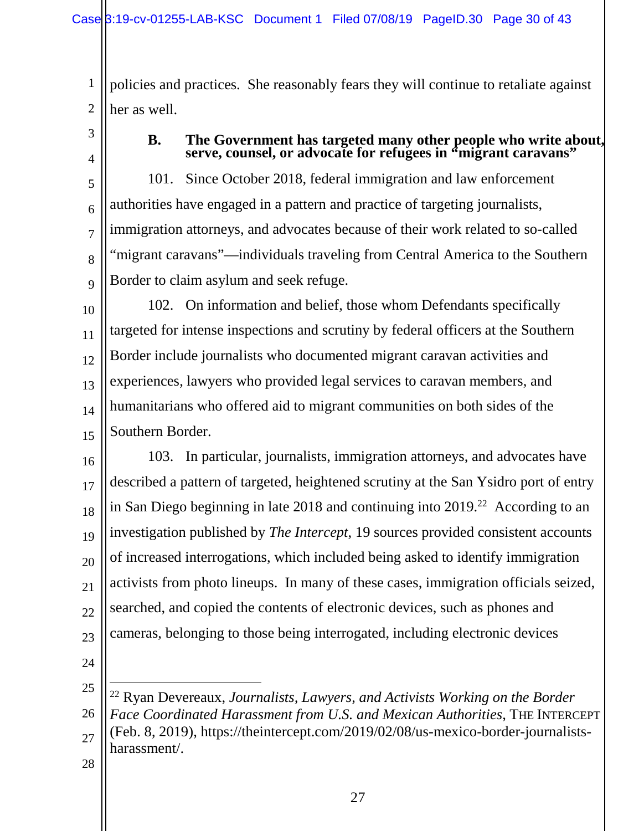1 2 policies and practices. She reasonably fears they will continue to retaliate against her as well.

3 4

#### **B. The Government has targeted many other people who write about, serve, counsel, or advocate for refugees in "migrant caravans"**

5 6 7 8 9 101. Since October 2018, federal immigration and law enforcement authorities have engaged in a pattern and practice of targeting journalists, immigration attorneys, and advocates because of their work related to so-called "migrant caravans"—individuals traveling from Central America to the Southern Border to claim asylum and seek refuge.

10 11 12 13 14 15 102. On information and belief, those whom Defendants specifically targeted for intense inspections and scrutiny by federal officers at the Southern Border include journalists who documented migrant caravan activities and experiences, lawyers who provided legal services to caravan members, and humanitarians who offered aid to migrant communities on both sides of the Southern Border.

16 17 18 19 20 21 22 23 103. In particular, journalists, immigration attorneys, and advocates have described a pattern of targeted, heightened scrutiny at the San Ysidro port of entry in San Diego beginning in late 2018 and continuing into 2019.<sup>22</sup> According to an investigation published by *The Intercept*, 19 sources provided consistent accounts of increased interrogations, which included being asked to identify immigration activists from photo lineups. In many of these cases, immigration officials seized, searched, and copied the contents of electronic devices, such as phones and cameras, belonging to those being interrogated, including electronic devices

24

1

25 26 27 <sup>22</sup> Ryan Devereaux, *Journalists, Lawyers, and Activists Working on the Border Face Coordinated Harassment from U.S. and Mexican Authorities*, THE INTERCEPT (Feb. 8, 2019), https://theintercept.com/2019/02/08/us-mexico-border-journalistsharassment/.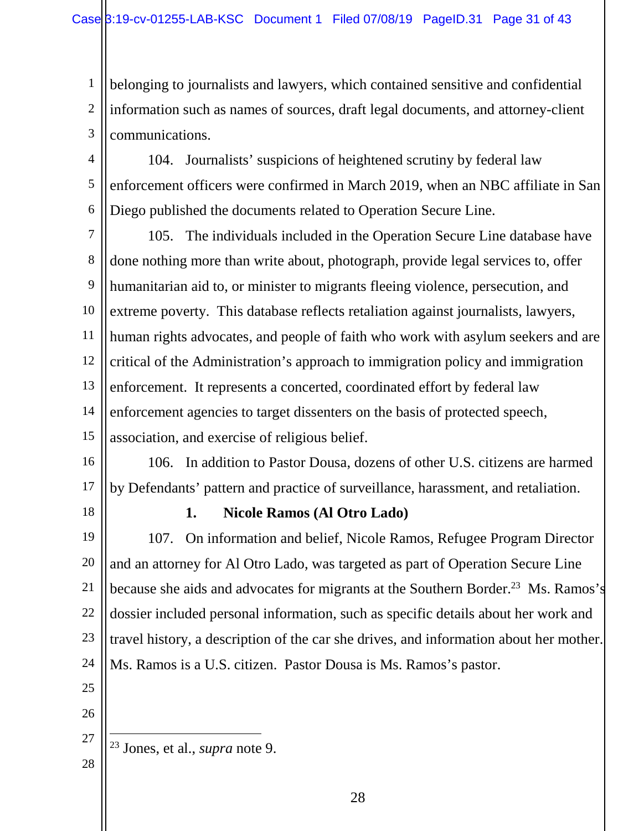1 2 3 belonging to journalists and lawyers, which contained sensitive and confidential information such as names of sources, draft legal documents, and attorney-client communications.

4 5 6 104. Journalists' suspicions of heightened scrutiny by federal law enforcement officers were confirmed in March 2019, when an NBC affiliate in San Diego published the documents related to Operation Secure Line.

7 8 9 10 11 12 13 14 15 105. The individuals included in the Operation Secure Line database have done nothing more than write about, photograph, provide legal services to, offer humanitarian aid to, or minister to migrants fleeing violence, persecution, and extreme poverty. This database reflects retaliation against journalists, lawyers, human rights advocates, and people of faith who work with asylum seekers and are critical of the Administration's approach to immigration policy and immigration enforcement. It represents a concerted, coordinated effort by federal law enforcement agencies to target dissenters on the basis of protected speech, association, and exercise of religious belief.

16

17 106. In addition to Pastor Dousa, dozens of other U.S. citizens are harmed by Defendants' pattern and practice of surveillance, harassment, and retaliation.

18

#### **1. Nicole Ramos (Al Otro Lado)**

19 20 21 22 23 24 107. On information and belief, Nicole Ramos, Refugee Program Director and an attorney for Al Otro Lado, was targeted as part of Operation Secure Line because she aids and advocates for migrants at the Southern Border.<sup>23</sup> Ms. Ramos's dossier included personal information, such as specific details about her work and travel history, a description of the car she drives, and information about her mother. Ms. Ramos is a U.S. citizen. Pastor Dousa is Ms. Ramos's pastor.

- 25
- 26

<sup>27</sup> <u>.</u> <sup>23</sup> Jones, et al., *supra* note 9.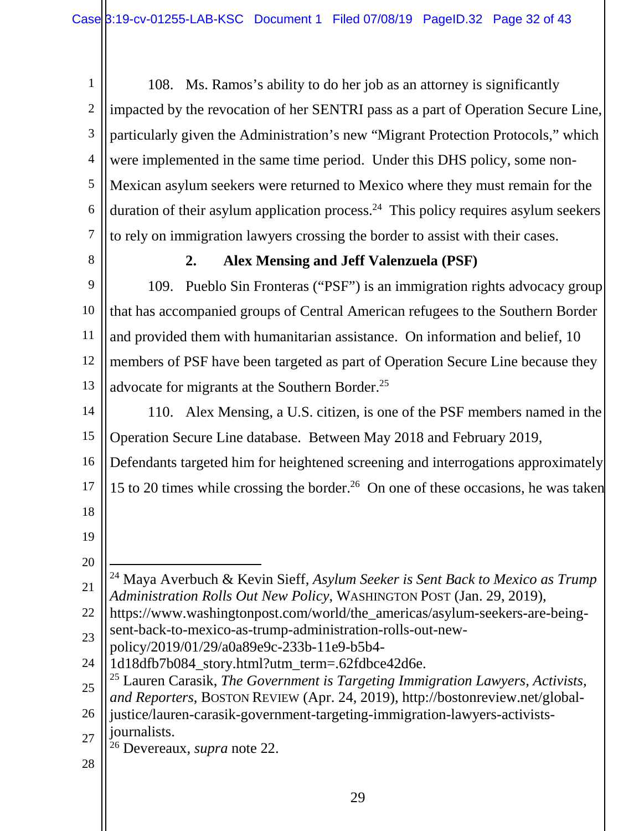1 2 3 4 5 6 7 108. Ms. Ramos's ability to do her job as an attorney is significantly impacted by the revocation of her SENTRI pass as a part of Operation Secure Line, particularly given the Administration's new "Migrant Protection Protocols," which were implemented in the same time period. Under this DHS policy, some non-Mexican asylum seekers were returned to Mexico where they must remain for the duration of their asylum application process.<sup>24</sup> This policy requires asylum seekers to rely on immigration lawyers crossing the border to assist with their cases.

8

#### **2. Alex Mensing and Jeff Valenzuela (PSF)**

9 10 11 12 13 109. Pueblo Sin Fronteras ("PSF") is an immigration rights advocacy group that has accompanied groups of Central American refugees to the Southern Border and provided them with humanitarian assistance. On information and belief, 10 members of PSF have been targeted as part of Operation Secure Line because they advocate for migrants at the Southern Border.<sup>25</sup>

14 15 110. Alex Mensing, a U.S. citizen, is one of the PSF members named in the Operation Secure Line database. Between May 2018 and February 2019,

16 Defendants targeted him for heightened screening and interrogations approximately

17 15 to 20 times while crossing the border.<sup>26</sup> On one of these occasions, he was taken

- 18
- 19 20

<u>.</u>

- 21 <sup>24</sup> Maya Averbuch & Kevin Sieff, *Asylum Seeker is Sent Back to Mexico as Trump Administration Rolls Out New Policy*, WASHINGTON POST (Jan. 29, 2019),
- 22 https://www.washingtonpost.com/world/the\_americas/asylum-seekers-are-beingsent-back-to-mexico-as-trump-administration-rolls-out-new-

23 policy/2019/01/29/a0a89e9c-233b-11e9-b5b4-

- 24 1d18dfb7b084\_story.html?utm\_term=.62fdbce42d6e.
- 25 <sup>25</sup> Lauren Carasik, *The Government is Targeting Immigration Lawyers, Activists, and Reporters*, BOSTON REVIEW (Apr. 24, 2019), http://bostonreview.net/global-

26 27 justice/lauren-carasik-government-targeting-immigration-lawyers-activistsjournalists.

- <sup>26</sup> Devereaux, *supra* note 22.
- 28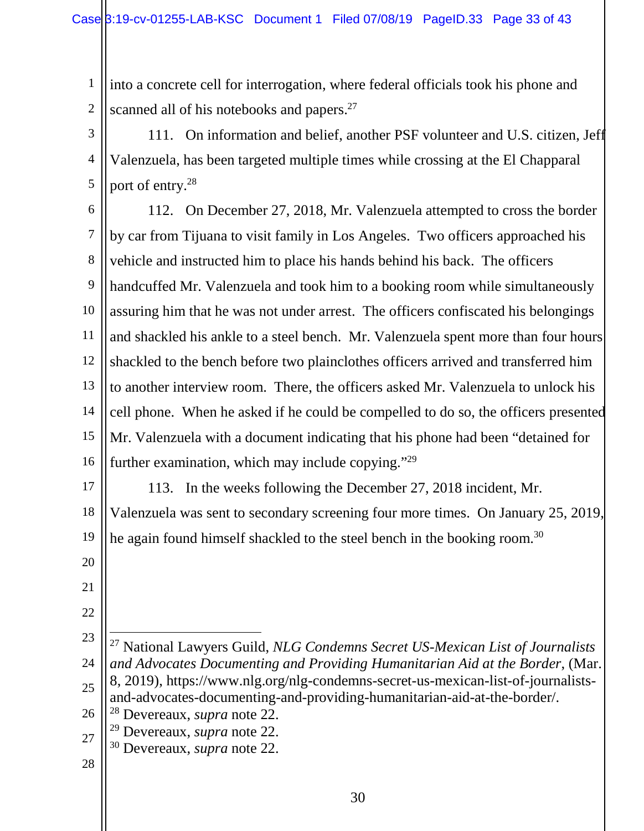1 2 into a concrete cell for interrogation, where federal officials took his phone and scanned all of his notebooks and papers.<sup>27</sup>

3 4 5 111. On information and belief, another PSF volunteer and U.S. citizen, Jeff Valenzuela, has been targeted multiple times while crossing at the El Chapparal port of entry.<sup>28</sup>

6 7 8 9 10 11 12 13 14 15 16 112. On December 27, 2018, Mr. Valenzuela attempted to cross the border by car from Tijuana to visit family in Los Angeles. Two officers approached his vehicle and instructed him to place his hands behind his back. The officers handcuffed Mr. Valenzuela and took him to a booking room while simultaneously assuring him that he was not under arrest. The officers confiscated his belongings and shackled his ankle to a steel bench. Mr. Valenzuela spent more than four hours shackled to the bench before two plainclothes officers arrived and transferred him to another interview room. There, the officers asked Mr. Valenzuela to unlock his cell phone. When he asked if he could be compelled to do so, the officers presented Mr. Valenzuela with a document indicating that his phone had been "detained for further examination, which may include copying."<sup>29</sup>

17 18 19 113. In the weeks following the December 27, 2018 incident, Mr. Valenzuela was sent to secondary screening four more times. On January 25, 2019, he again found himself shackled to the steel bench in the booking room.<sup>30</sup>

- 20
- 21 22
- 23

1

<sup>24</sup> 25 26 <sup>27</sup> National Lawyers Guild, *NLG Condemns Secret US-Mexican List of Journalists and Advocates Documenting and Providing Humanitarian Aid at the Border*, (Mar. 8, 2019), https://www.nlg.org/nlg-condemns-secret-us-mexican-list-of-journalistsand-advocates-documenting-and-providing-humanitarian-aid-at-the-border/. <sup>28</sup> Devereaux, *supra* note 22.

<sup>29</sup> Devereaux, *supra* note 22.

<sup>27</sup> <sup>30</sup> Devereaux, *supra* note 22.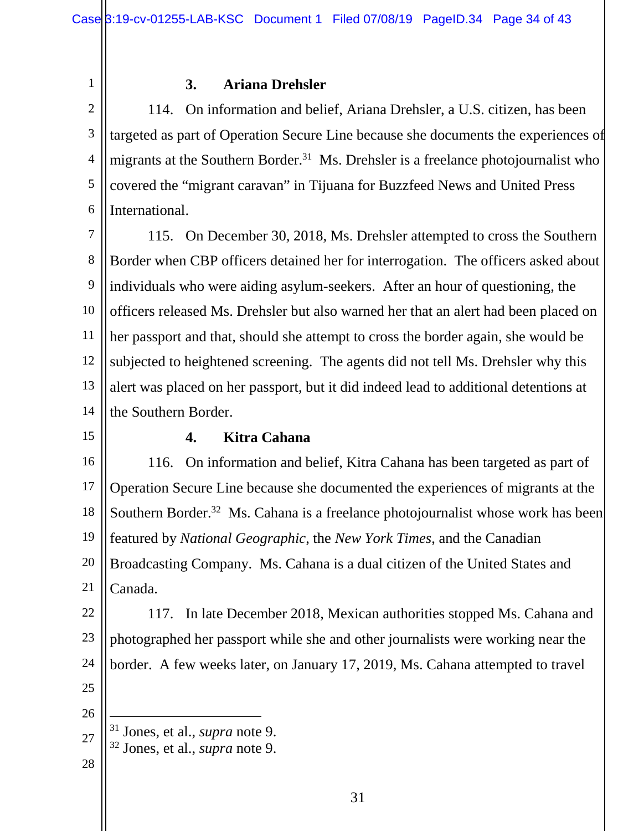1

#### **3. Ariana Drehsler**

2 3 4 5 6 114. On information and belief, Ariana Drehsler, a U.S. citizen, has been targeted as part of Operation Secure Line because she documents the experiences of migrants at the Southern Border.<sup>31</sup> Ms. Drehsler is a freelance photojournalist who covered the "migrant caravan" in Tijuana for Buzzfeed News and United Press International.

7 8 9 10 11 12 13 14 115. On December 30, 2018, Ms. Drehsler attempted to cross the Southern Border when CBP officers detained her for interrogation. The officers asked about individuals who were aiding asylum-seekers. After an hour of questioning, the officers released Ms. Drehsler but also warned her that an alert had been placed on her passport and that, should she attempt to cross the border again, she would be subjected to heightened screening. The agents did not tell Ms. Drehsler why this alert was placed on her passport, but it did indeed lead to additional detentions at the Southern Border.

15

#### **4. Kitra Cahana**

16 17 18 19 20 21 116. On information and belief, Kitra Cahana has been targeted as part of Operation Secure Line because she documented the experiences of migrants at the Southern Border.<sup>32</sup> Ms. Cahana is a freelance photojournalist whose work has been featured by *National Geographic*, the *New York Times*, and the Canadian Broadcasting Company. Ms. Cahana is a dual citizen of the United States and Canada.

22 23 24 25 117. In late December 2018, Mexican authorities stopped Ms. Cahana and photographed her passport while she and other journalists were working near the border. A few weeks later, on January 17, 2019, Ms. Cahana attempted to travel

26

<u>.</u>

- 27 <sup>31</sup> Jones, et al., *supra* note 9.
	- <sup>32</sup> Jones, et al., *supra* note 9.
- 28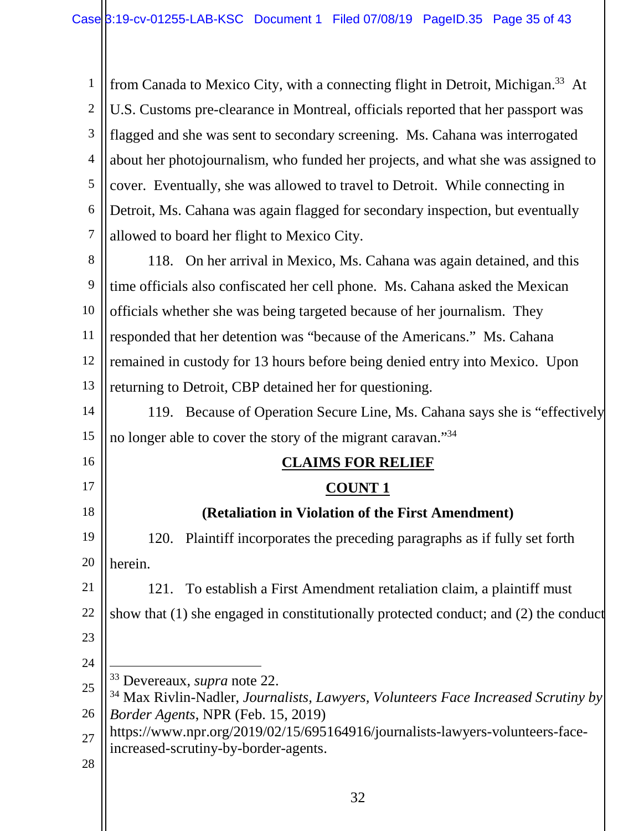1 2 3 4 5 6 7 from Canada to Mexico City, with a connecting flight in Detroit, Michigan.<sup>33</sup> At U.S. Customs pre-clearance in Montreal, officials reported that her passport was flagged and she was sent to secondary screening. Ms. Cahana was interrogated about her photojournalism, who funded her projects, and what she was assigned to cover. Eventually, she was allowed to travel to Detroit. While connecting in Detroit, Ms. Cahana was again flagged for secondary inspection, but eventually allowed to board her flight to Mexico City.

8 9 10 11 12 13 118. On her arrival in Mexico, Ms. Cahana was again detained, and this time officials also confiscated her cell phone. Ms. Cahana asked the Mexican officials whether she was being targeted because of her journalism. They responded that her detention was "because of the Americans." Ms. Cahana remained in custody for 13 hours before being denied entry into Mexico. Upon returning to Detroit, CBP detained her for questioning.

14 15 119. Because of Operation Secure Line, Ms. Cahana says she is "effectively no longer able to cover the story of the migrant caravan."<sup>34</sup>

16 17 18 19 20 21 22 23 24 25 26 27 28 **CLAIMS FOR RELIEF COUNT 1 (Retaliation in Violation of the First Amendment)**  120. Plaintiff incorporates the preceding paragraphs as if fully set forth herein. 121. To establish a First Amendment retaliation claim, a plaintiff must show that (1) she engaged in constitutionally protected conduct; and (2) the conduct 1 <sup>33</sup> Devereaux, *supra* note 22. <sup>34</sup> Max Rivlin-Nadler, *Journalists, Lawyers, Volunteers Face Increased Scrutiny by Border Agents*, NPR (Feb. 15, 2019) https://www.npr.org/2019/02/15/695164916/journalists-lawyers-volunteers-faceincreased-scrutiny-by-border-agents.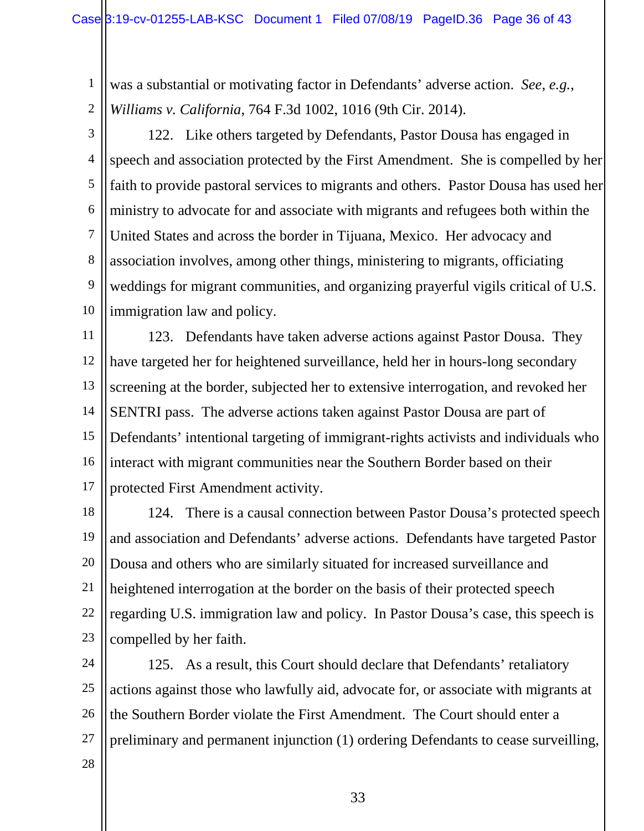1 2 was a substantial or motivating factor in Defendants' adverse action. *See, e.g.*, *Williams v. California*, 764 F.3d 1002, 1016 (9th Cir. 2014).

3

4 5 6 7 8 9 10 122. Like others targeted by Defendants, Pastor Dousa has engaged in speech and association protected by the First Amendment. She is compelled by her faith to provide pastoral services to migrants and others. Pastor Dousa has used her ministry to advocate for and associate with migrants and refugees both within the United States and across the border in Tijuana, Mexico. Her advocacy and association involves, among other things, ministering to migrants, officiating weddings for migrant communities, and organizing prayerful vigils critical of U.S. immigration law and policy.

11 12 13 14 15 16 17 123. Defendants have taken adverse actions against Pastor Dousa. They have targeted her for heightened surveillance, held her in hours-long secondary screening at the border, subjected her to extensive interrogation, and revoked her SENTRI pass. The adverse actions taken against Pastor Dousa are part of Defendants' intentional targeting of immigrant-rights activists and individuals who interact with migrant communities near the Southern Border based on their protected First Amendment activity.

18 19 20 21 22 23 124. There is a causal connection between Pastor Dousa's protected speech and association and Defendants' adverse actions. Defendants have targeted Pastor Dousa and others who are similarly situated for increased surveillance and heightened interrogation at the border on the basis of their protected speech regarding U.S. immigration law and policy. In Pastor Dousa's case, this speech is compelled by her faith.

24 25 26 27 125. As a result, this Court should declare that Defendants' retaliatory actions against those who lawfully aid, advocate for, or associate with migrants at the Southern Border violate the First Amendment. The Court should enter a preliminary and permanent injunction (1) ordering Defendants to cease surveilling,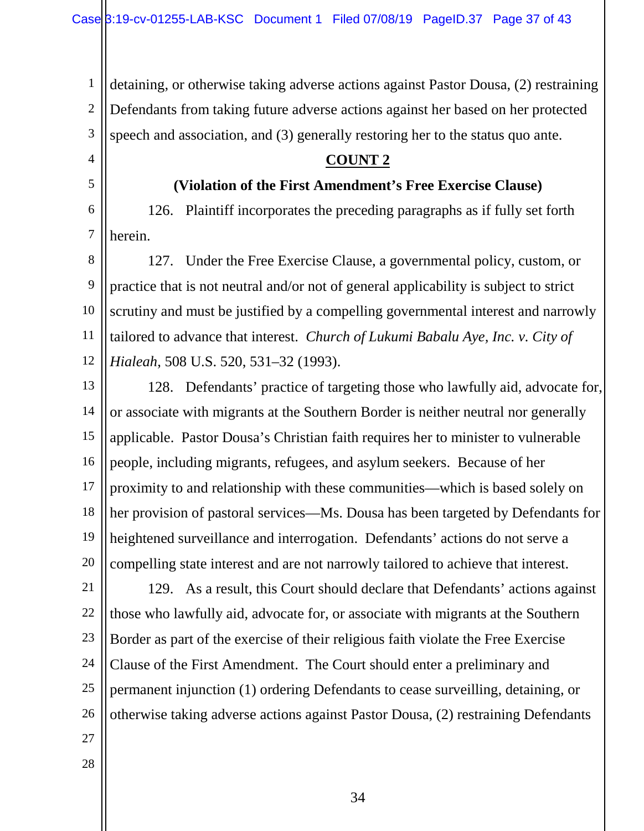1 2 3 detaining, or otherwise taking adverse actions against Pastor Dousa, (2) restraining Defendants from taking future adverse actions against her based on her protected speech and association, and (3) generally restoring her to the status quo ante.

#### **COUNT 2**

#### **(Violation of the First Amendment's Free Exercise Clause)**

6 7 126. Plaintiff incorporates the preceding paragraphs as if fully set forth herein.

8 9 10 11 12 127. Under the Free Exercise Clause, a governmental policy, custom, or practice that is not neutral and/or not of general applicability is subject to strict scrutiny and must be justified by a compelling governmental interest and narrowly tailored to advance that interest. *Church of Lukumi Babalu Aye, Inc. v. City of Hialeah*, 508 U.S. 520, 531–32 (1993).

13 14 15 16 17 18 19 20 128. Defendants' practice of targeting those who lawfully aid, advocate for, or associate with migrants at the Southern Border is neither neutral nor generally applicable. Pastor Dousa's Christian faith requires her to minister to vulnerable people, including migrants, refugees, and asylum seekers. Because of her proximity to and relationship with these communities—which is based solely on her provision of pastoral services—Ms. Dousa has been targeted by Defendants for heightened surveillance and interrogation. Defendants' actions do not serve a compelling state interest and are not narrowly tailored to achieve that interest.

21 22 23 24 25 26 129. As a result, this Court should declare that Defendants' actions against those who lawfully aid, advocate for, or associate with migrants at the Southern Border as part of the exercise of their religious faith violate the Free Exercise Clause of the First Amendment. The Court should enter a preliminary and permanent injunction (1) ordering Defendants to cease surveilling, detaining, or otherwise taking adverse actions against Pastor Dousa, (2) restraining Defendants

27

4

5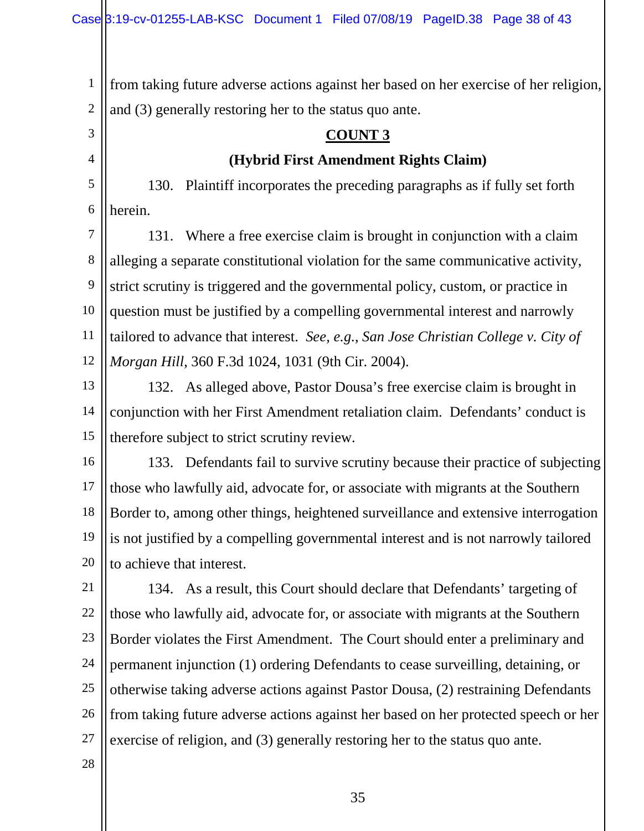1 2 from taking future adverse actions against her based on her exercise of her religion, and (3) generally restoring her to the status quo ante.

#### **COUNT 3**

#### **(Hybrid First Amendment Rights Claim)**

5 6 130. Plaintiff incorporates the preceding paragraphs as if fully set forth herein.

7 8 9 10 11 12 131. Where a free exercise claim is brought in conjunction with a claim alleging a separate constitutional violation for the same communicative activity, strict scrutiny is triggered and the governmental policy, custom, or practice in question must be justified by a compelling governmental interest and narrowly tailored to advance that interest. *See, e.g.*, *San Jose Christian College v. City of Morgan Hill*, 360 F.3d 1024, 1031 (9th Cir. 2004).

13 14 15 132. As alleged above, Pastor Dousa's free exercise claim is brought in conjunction with her First Amendment retaliation claim. Defendants' conduct is therefore subject to strict scrutiny review.

16 17 18 19 20 133. Defendants fail to survive scrutiny because their practice of subjecting those who lawfully aid, advocate for, or associate with migrants at the Southern Border to, among other things, heightened surveillance and extensive interrogation is not justified by a compelling governmental interest and is not narrowly tailored to achieve that interest.

21 22 23 24 25 26 27 134. As a result, this Court should declare that Defendants' targeting of those who lawfully aid, advocate for, or associate with migrants at the Southern Border violates the First Amendment. The Court should enter a preliminary and permanent injunction (1) ordering Defendants to cease surveilling, detaining, or otherwise taking adverse actions against Pastor Dousa, (2) restraining Defendants from taking future adverse actions against her based on her protected speech or her exercise of religion, and (3) generally restoring her to the status quo ante.

28

3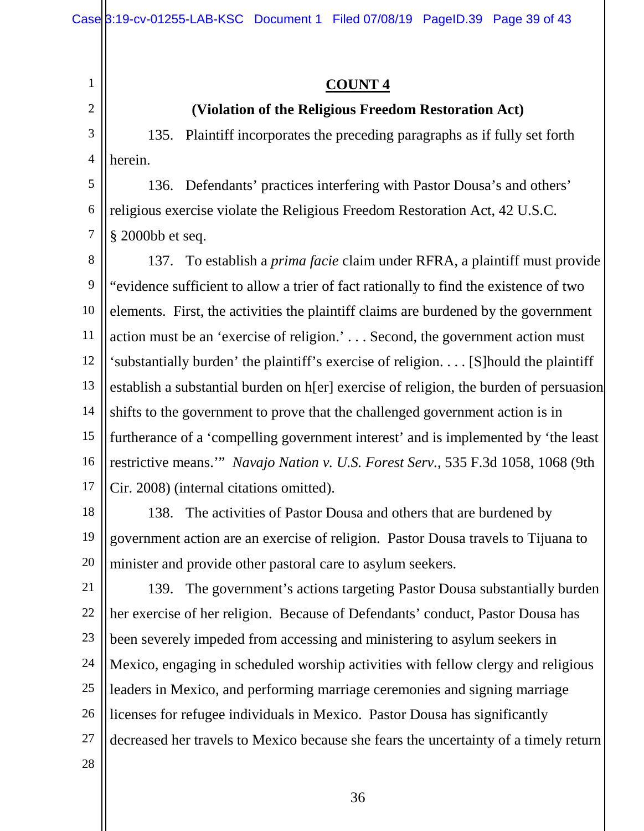1 2

## **COUNT 4**

#### **(Violation of the Religious Freedom Restoration Act)**

3 4 135. Plaintiff incorporates the preceding paragraphs as if fully set forth herein.

5 6 7 136. Defendants' practices interfering with Pastor Dousa's and others' religious exercise violate the Religious Freedom Restoration Act, 42 U.S.C. § 2000bb et seq.

8 9 10 11 12 13 14 15 16 17 137. To establish a *prima facie* claim under RFRA, a plaintiff must provide "evidence sufficient to allow a trier of fact rationally to find the existence of two elements. First, the activities the plaintiff claims are burdened by the government action must be an 'exercise of religion.' . . . Second, the government action must 'substantially burden' the plaintiff's exercise of religion. . . . [S]hould the plaintiff establish a substantial burden on h[er] exercise of religion, the burden of persuasion shifts to the government to prove that the challenged government action is in furtherance of a 'compelling government interest' and is implemented by 'the least restrictive means.'" *Navajo Nation v. U.S. Forest Serv.*, 535 F.3d 1058, 1068 (9th Cir. 2008) (internal citations omitted).

18 19 20 138. The activities of Pastor Dousa and others that are burdened by government action are an exercise of religion. Pastor Dousa travels to Tijuana to minister and provide other pastoral care to asylum seekers.

21 22 23 24 25 26 27 28 139. The government's actions targeting Pastor Dousa substantially burden her exercise of her religion. Because of Defendants' conduct, Pastor Dousa has been severely impeded from accessing and ministering to asylum seekers in Mexico, engaging in scheduled worship activities with fellow clergy and religious leaders in Mexico, and performing marriage ceremonies and signing marriage licenses for refugee individuals in Mexico. Pastor Dousa has significantly decreased her travels to Mexico because she fears the uncertainty of a timely return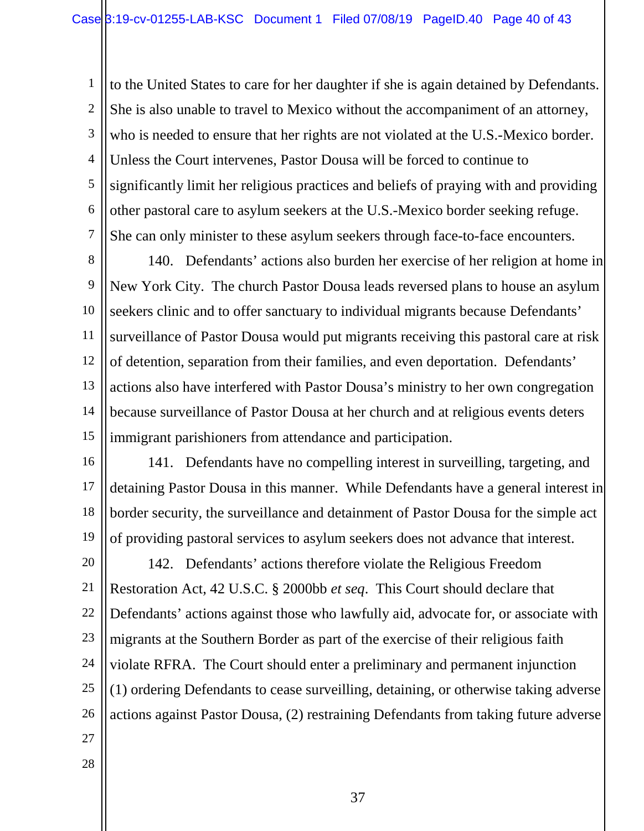1 2 3 4 5 6 7 to the United States to care for her daughter if she is again detained by Defendants. She is also unable to travel to Mexico without the accompaniment of an attorney, who is needed to ensure that her rights are not violated at the U.S.-Mexico border. Unless the Court intervenes, Pastor Dousa will be forced to continue to significantly limit her religious practices and beliefs of praying with and providing other pastoral care to asylum seekers at the U.S.-Mexico border seeking refuge. She can only minister to these asylum seekers through face-to-face encounters.

8 9 10 11 12 13 14 15 140. Defendants' actions also burden her exercise of her religion at home in New York City. The church Pastor Dousa leads reversed plans to house an asylum seekers clinic and to offer sanctuary to individual migrants because Defendants' surveillance of Pastor Dousa would put migrants receiving this pastoral care at risk of detention, separation from their families, and even deportation. Defendants' actions also have interfered with Pastor Dousa's ministry to her own congregation because surveillance of Pastor Dousa at her church and at religious events deters immigrant parishioners from attendance and participation.

16 17 18 19 141. Defendants have no compelling interest in surveilling, targeting, and detaining Pastor Dousa in this manner. While Defendants have a general interest in border security, the surveillance and detainment of Pastor Dousa for the simple act of providing pastoral services to asylum seekers does not advance that interest.

20 21 22 23 24 25 26 142. Defendants' actions therefore violate the Religious Freedom Restoration Act, 42 U.S.C. § 2000bb *et seq*. This Court should declare that Defendants' actions against those who lawfully aid, advocate for, or associate with migrants at the Southern Border as part of the exercise of their religious faith violate RFRA. The Court should enter a preliminary and permanent injunction (1) ordering Defendants to cease surveilling, detaining, or otherwise taking adverse actions against Pastor Dousa, (2) restraining Defendants from taking future adverse

- 27
- 28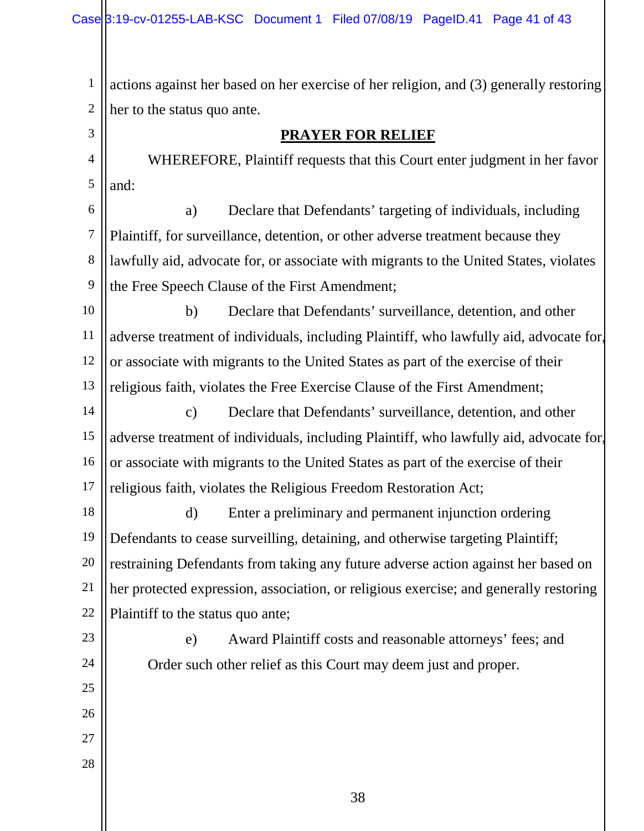1 2 actions against her based on her exercise of her religion, and (3) generally restoring her to the status quo ante.

#### **PRAYER FOR RELIEF**

4 5 WHEREFORE, Plaintiff requests that this Court enter judgment in her favor and:

6 7 8 9 a) Declare that Defendants' targeting of individuals, including Plaintiff, for surveillance, detention, or other adverse treatment because they lawfully aid, advocate for, or associate with migrants to the United States, violates the Free Speech Clause of the First Amendment;

10 11 12 13 b) Declare that Defendants' surveillance, detention, and other adverse treatment of individuals, including Plaintiff, who lawfully aid, advocate for, or associate with migrants to the United States as part of the exercise of their religious faith, violates the Free Exercise Clause of the First Amendment;

14 15 16 17 c) Declare that Defendants' surveillance, detention, and other adverse treatment of individuals, including Plaintiff, who lawfully aid, advocate for, or associate with migrants to the United States as part of the exercise of their religious faith, violates the Religious Freedom Restoration Act;

18 19 20 21 22 d) Enter a preliminary and permanent injunction ordering Defendants to cease surveilling, detaining, and otherwise targeting Plaintiff; restraining Defendants from taking any future adverse action against her based on her protected expression, association, or religious exercise; and generally restoring Plaintiff to the status quo ante;

e) Award Plaintiff costs and reasonable attorneys' fees; and Order such other relief as this Court may deem just and proper.

25 26

23

24

- 27
- 28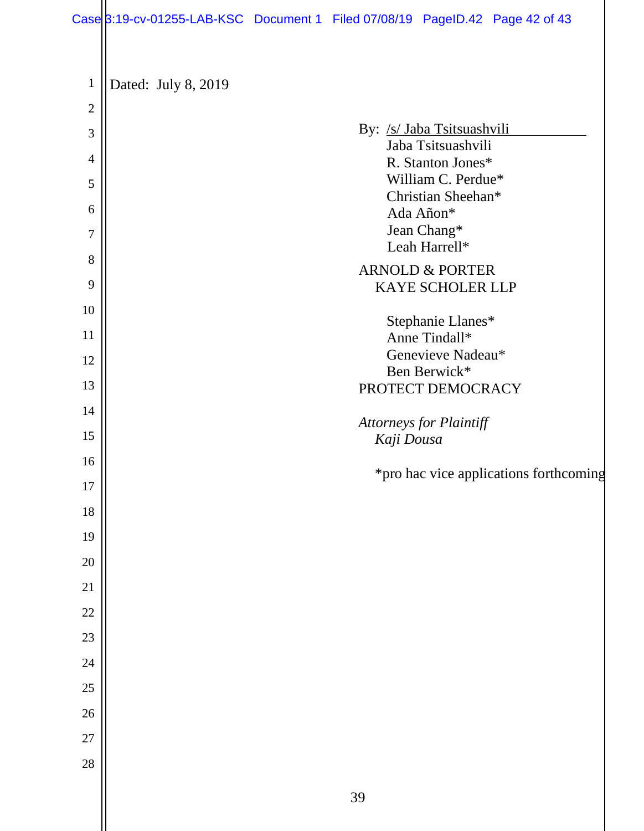## Case 3:19-cv-01255-LAB-KSC Document 1 Filed 07/08/19 PageID.42 Page 42 of 43

| $\mathbf{1}$   | Dated: July 8, 2019                              |
|----------------|--------------------------------------------------|
| $\overline{2}$ |                                                  |
| 3              | By: /s/ Jaba Tsitsuashvili<br>Jaba Tsitsuashvili |
| $\overline{4}$ | R. Stanton Jones*                                |
| 5              | William C. Perdue*<br>Christian Sheehan*         |
| 6              | Ada Añon*                                        |
| 7              | Jean Chang*<br>Leah Harrell*                     |
| 8              | <b>ARNOLD &amp; PORTER</b>                       |
| 9              | KAYE SCHOLER LLP                                 |
| 10             | Stephanie Llanes*                                |
| 11             | Anne Tindall*                                    |
| 12             | Genevieve Nadeau*<br>Ben Berwick*                |
| 13             | PROTECT DEMOCRACY                                |
| 14             | Attorneys for Plaintiff                          |
| 15             | Kaji Dousa                                       |
| 16             | *pro hac vice applications forthcoming           |
| 17             |                                                  |
| 18             |                                                  |
| 19             |                                                  |
| $20\,$         |                                                  |
| $21\,$         |                                                  |
| $22\,$         |                                                  |
| 23             |                                                  |
| 24             |                                                  |
| 25             |                                                  |
| $26\,$         |                                                  |
| $27\,$         |                                                  |
| 28             |                                                  |
|                | 39                                               |
|                |                                                  |